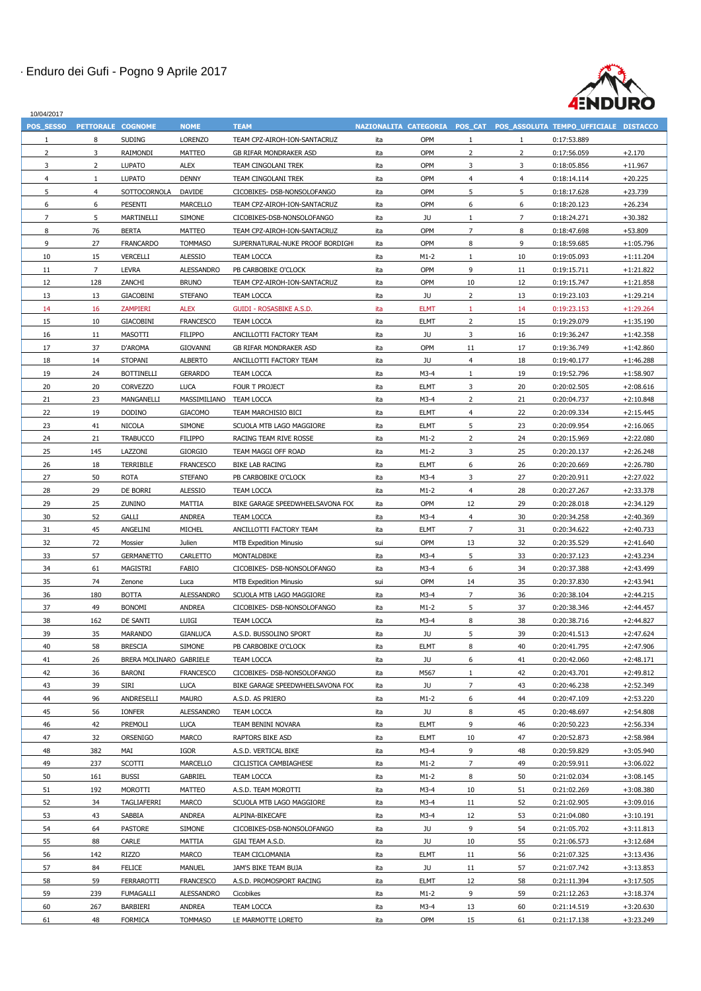

| <b>TEAM</b><br>POS SESSO<br><b>NOME</b><br><b>PETTORALE</b><br><b>COGNOME</b><br><b>NAZIONALITA</b><br><b>CATEGORIA</b><br>POS CAT<br>POS ASSOLUTA TEMPO UFFICIALE DISTACCO<br>8<br><b>SUDING</b><br><b>LORENZO</b><br>ita<br><b>OPM</b><br>TEAM CPZ-AIROH-ION-SANTACRUZ<br>0:17:53.889<br>$\mathbf{1}$<br>3<br><b>OPM</b><br>$+2.170$<br>$\overline{2}$<br>RAIMONDI<br><b>MATTEO</b><br>ita<br>2<br>$\mathbf{2}$<br>0:17:56.059<br><b>GB RIFAR MONDRAKER ASD</b><br>3<br>3<br>$\overline{2}$<br><b>LUPATO</b><br><b>ALEX</b><br>ita<br><b>OPM</b><br>3<br>0:18:05.856<br>$+11.967$<br>TEAM CINGOLANI TREK<br><b>LUPATO</b><br><b>DENNY</b><br>TEAM CINGOLANI TREK<br>ita<br><b>OPM</b><br>0:18:14.114<br>$+20.225$<br>4<br>4<br>4<br>5<br><b>OPM</b><br>5<br>$+23.739$<br>SOTTOCORNOLA<br><b>DAVIDE</b><br>CICOBIKES- DSB-NONSOLOFANGO<br>ita<br>5<br>0:18:17.628<br>4<br><b>OPM</b><br>6<br>6<br><b>PESENTI</b><br><b>MARCELLO</b><br>ita<br>6<br>6<br>0:18:20.123<br>$+26.234$<br>TEAM CPZ-AIROH-ION-SANTACRUZ<br>7<br>5<br><b>SIMONE</b><br>JU<br>$\overline{7}$<br>$+30.382$<br><b>MARTINELLI</b><br>ita<br>0:18:24.271<br>CICOBIKES-DSB-NONSOLOFANGO<br>76<br><b>OPM</b><br>7<br>8<br><b>BERTA</b><br><b>MATTEO</b><br>ita<br>8<br>0:18:47.698<br>$+53.809$<br>TEAM CPZ-AIROH-ION-SANTACRUZ<br>9<br>27<br><b>FRANCARDO</b><br>ita<br><b>OPM</b><br>8<br>9<br><b>TOMMASO</b><br>SUPERNATURAL-NUKE PROOF BORDIGH<br>0:18:59.685<br>$+1:05.796$<br>15<br><b>VERCELLI</b><br><b>ALESSIO</b><br><b>TEAM LOCCA</b><br>$M1-2$<br>10<br>0:19:05.093<br>$+1:11.204$<br>10<br>ita<br>$\overline{7}$<br><b>LEVRA</b><br>ita<br><b>OPM</b><br>9<br>11<br>$+1:21.822$<br>11<br><b>ALESSANDRO</b><br>PB CARBOBIKE O'CLOCK<br>0:19:15.711<br>12<br>128<br>ZANCHI<br><b>BRUNO</b><br>ita<br><b>OPM</b><br>10<br>12<br>$+1:21.858$<br>TEAM CPZ-AIROH-ION-SANTACRUZ<br>0:19:15.747<br>13<br><b>GIACOBINI</b><br><b>STEFANO</b><br><b>TEAM LOCCA</b><br>ita<br>JU<br>2<br>13<br>0:19:23.103<br>$+1:29.214$<br>13<br><b>ELMT</b><br>14<br>16<br><b>ZAMPIERI</b><br><b>ALEX</b><br><b>GUIDI - ROSASBIKE A.S.D.</b><br>ita<br>0:19:23.153<br>$+1:29.264$<br>14<br><b>ELMT</b><br>15<br>10<br><b>GIACOBINI</b><br><b>FRANCESCO</b><br><b>TEAM LOCCA</b><br>ita<br>$\overline{2}$<br>15<br>0:19:29.079<br>$+1:35.190$<br>11<br><b>FILIPPO</b><br>JU<br>3<br>16<br><b>MASOTTI</b><br>ANCILLOTTI FACTORY TEAM<br>ita<br>16<br>0:19:36.247<br>$+1:42.358$<br>37<br><b>OPM</b><br>17<br>D'AROMA<br><b>GIOVANNI</b><br>ita<br>17<br>0:19:36.749<br>$+1:42.860$<br><b>GB RIFAR MONDRAKER ASD</b><br>11<br>18<br>14<br><b>STOPANI</b><br><b>ALBERTO</b><br>ita<br>JU<br>18<br>0:19:40.177<br>$+1:46.288$<br>ANCILLOTTI FACTORY TEAM<br>4<br>24<br><b>BOTTINELLI</b><br>$M3-4$<br>19<br>19<br><b>GERARDO</b><br><b>TEAM LOCCA</b><br>ita<br>0:19:52.796<br>$+1:58.907$<br>3<br>20<br>20<br><b>CORVEZZO</b><br><b>LUCA</b><br>FOUR T PROJECT<br><b>ELMT</b><br>20<br>0:20:02.505<br>$+2:08.616$<br>ita<br>21<br>23<br>$\overline{2}$<br>MANGANELLI<br>MASSIMILIANO<br><b>TEAM LOCCA</b><br>$M3-4$<br>21<br>0:20:04.737<br>$+2:10.848$<br>ita<br>22<br>19<br><b>DODINO</b><br><b>GIACOMO</b><br><b>ELMT</b><br>0:20:09.334<br>$+2:15.445$<br>TEAM MARCHISIO BICI<br>ita<br>22<br>4<br>23<br><b>ELMT</b><br><b>NICOLA</b><br><b>SIMONE</b><br>5<br>23<br>0:20:09.954<br>$+2:16.065$<br>41<br>SCUOLA MTB LAGO MAGGIORE<br>ita<br>24<br><b>FILIPPO</b><br>24<br>$+2:22.080$<br>21<br><b>TRABUCCO</b><br>$M1-2$<br>$\overline{2}$<br>0:20:15.969<br>RACING TEAM RIVE ROSSE<br>ita<br>25<br>$+2:26.248$<br>145<br>LAZZONI<br><b>GIORGIO</b><br>TEAM MAGGI OFF ROAD<br>ita<br>$M1-2$<br>3<br>25<br>0:20:20.137<br>26<br>18<br>ita<br><b>ELMT</b><br>26<br><b>TERRIBILE</b><br><b>FRANCESCO</b><br><b>BIKE LAB RACING</b><br>6<br>0:20:20.669<br>$+2:26.780$<br>27<br><b>ROTA</b><br>3<br>27<br>50<br><b>STEFANO</b><br>PB CARBOBIKE O'CLOCK<br>ita<br>$M3-4$<br>0:20:20.911<br>$+2:27.022$<br>28<br>29<br>DE BORRI<br><b>ALESSIO</b><br>28<br>$+2:33.378$<br><b>TEAM LOCCA</b><br>ita<br>$M1-2$<br>0:20:27.267<br>4<br>29<br>25<br>ZUNINO<br><b>MATTIA</b><br><b>OPM</b><br>12<br>$+2:34.129$<br>BIKE GARAGE SPEEDWHEELSAVONA FOO<br>ita<br>29<br>0:20:28.018<br>30<br>52<br><b>GALLI</b><br>30<br><b>ANDREA</b><br>$M3-4$<br>0:20:34.258<br>$+2:40.369$<br><b>TEAM LOCCA</b><br>ita<br>4<br>31<br>45<br><b>MICHEL</b><br><b>ELMT</b><br>$\overline{7}$<br>$+2:40.733$<br>ANGELINI<br>ANCILLOTTI FACTORY TEAM<br>31<br>0:20:34.622<br>ita<br>32<br>72<br><b>OPM</b><br>13<br>Mossier<br>Julien<br>32<br>0:20:35.529<br>$+2:41.640$<br><b>MTB Expedition Minusio</b><br>sui<br>57<br>$M3-4$<br>5<br>33<br>33<br><b>GERMANETTO</b><br><b>CARLETTO</b><br>ita<br>0:20:37.123<br>$+2:43.234$<br>MONTALDBIKE<br>$M3-4$<br>6<br>34<br>0:20:37.388<br>$+2:43.499$<br>34<br>61<br><b>MAGISTRI</b><br>FABIO<br>CICOBIKES- DSB-NONSOLOFANGO<br>ita<br>35<br>74<br><b>OPM</b><br>35<br>14<br>0:20:37.830<br>$+2:43.941$<br><b>MTB Expedition Minusio</b><br>Zenone<br>Luca<br>sui<br><b>BOTTA</b><br>36<br>180<br><b>ALESSANDRO</b><br>SCUOLA MTB LAGO MAGGIORE<br>ita<br>$M3-4$<br>7<br>36<br>0:20:38.104<br>$+2:44.215$<br>37<br>49<br><b>BONOMI</b><br>$M1-2$<br>5<br>37<br>0:20:38.346<br><b>ANDREA</b><br>CICOBIKES- DSB-NONSOLOFANGO<br>ita<br>$+2:44.457$<br>38<br>162<br>DE SANTI<br>LUIGI<br><b>TEAM LOCCA</b><br>ita<br>$M3-4$<br>8<br>38<br>0:20:38.716<br>$+2:44.827$<br>39<br>35<br>JU<br>5<br>39<br>$+2:47.624$<br><b>MARANDO</b><br><b>GIANLUCA</b><br>A.S.D. BUSSOLINO SPORT<br>ita<br>0:20:41.513<br>58<br><b>ELMT</b><br><b>BRESCIA</b><br><b>SIMONE</b><br>ita<br>8<br>40<br>0:20:41.795<br>$+2:47.906$<br>40<br>PB CARBOBIKE O'CLOCK<br>26<br><b>GABRIELE</b><br>JU<br>6<br>41<br><b>BRERA MOLINARO</b><br><b>TEAM LOCCA</b><br>ita<br>41<br>0:20:42.060<br>$+2:48.171$<br>42<br>36<br>M567<br>42<br>$+2:49.812$<br><b>BARONI</b><br><b>FRANCESCO</b><br>CICOBIKES- DSB-NONSOLOFANGO<br>ita<br>0:20:43.701<br>39<br>43<br><b>SIRI</b><br><b>LUCA</b><br>ita<br>JU<br>$+2:52.349$<br>BIKE GARAGE SPEEDWHEELSAVONA FOO<br>43<br>0:20:46.238<br>96<br><b>MAURO</b><br>0:20:47.109<br>$+2:53.220$<br>44<br>ANDRESELLI<br>A.S.D. AS PRIERO<br>$M1-2$<br>44<br>ita<br>6<br>45<br>56<br><b>IONFER</b><br><b>ALESSANDRO</b><br>JU<br>8<br>45<br>$+2:54.808$<br><b>TEAM LOCCA</b><br>ita<br>0:20:48.697<br><b>ELMT</b><br>46<br>42<br>PREMOLI<br><b>LUCA</b><br>TEAM BENINI NOVARA<br>ita<br>9<br>46<br>0:20:50.223<br>$+2:56.334$<br>47<br>32<br>ORSENIGO<br><b>MARCO</b><br>ita<br><b>ELMT</b><br>10<br>47<br>$+2:58.984$<br>RAPTORS BIKE ASD<br>0:20:52.873<br>382<br><b>IGOR</b><br>9<br>48<br>MAI<br>A.S.D. VERTICAL BIKE<br>ita<br>$M3-4$<br>48<br>0:20:59.829<br>$+3:05.940$<br>49<br>237<br><b>SCOTTI</b><br><b>MARCELLO</b><br>$M1-2$<br>$\overline{7}$<br>49<br>$+3:06.022$<br><b>CICLISTICA CAMBIAGHESE</b><br>ita<br>0:20:59.911<br>50<br>161<br><b>BUSSI</b><br><b>GABRIEL</b><br>ita<br>$M1-2$<br>8<br>50<br>TEAM LOCCA<br>0:21:02.034<br>$+3:08.145$<br><b>MOROTTI</b><br><b>MATTEO</b><br>$M3-4$<br>10<br>51<br>51<br>192<br>A.S.D. TEAM MOROTTI<br>ita<br>0:21:02.269<br>$+3:08.380$<br>52<br>34<br><b>TAGLIAFERRI</b><br><b>MARCO</b><br>$M3-4$<br>11<br>52<br>0:21:02.905<br>$+3:09.016$<br>SCUOLA MTB LAGO MAGGIORE<br>ita<br>53<br>43<br>SABBIA<br><b>ANDREA</b><br>ita<br>$M3-4$<br>12<br>53<br>0:21:04.080<br>$+3:10.191$<br>ALPINA-BIKECAFE<br>54<br>54<br>64<br><b>PASTORE</b><br><b>SIMONE</b><br>ita<br>JU<br>9<br>0:21:05.702<br>CICOBIKES-DSB-NONSOLOFANGO<br>$+3:11.813$<br>55<br>88<br><b>CARLE</b><br><b>MATTIA</b><br>GIAI TEAM A.S.D.<br>ita<br>JU<br>10<br>55<br>0:21:06.573<br>$+3:12.684$<br>56<br>142<br><b>RIZZO</b><br><b>ELMT</b><br>56<br><b>MARCO</b><br>TEAM CICLOMANIA<br>ita<br>11<br>$+3:13.436$<br>0:21:07.325<br>57<br><b>FELICE</b><br>ita<br>JU<br>57<br>84<br><b>MANUEL</b><br>JAM'S BIKE TEAM BUJA<br>11<br>0:21:07.742<br>$+3:13.853$<br><b>ELMT</b><br>58<br>59<br>FERRAROTTI<br><b>FRANCESCO</b><br>12<br>58<br>$+3:17.505$<br>A.S.D. PROMOSPORT RACING<br>ita<br>0:21:11.394<br>59<br>9<br>239<br><b>FUMAGALLI</b><br><b>ALESSANDRO</b><br>Cicobikes<br>ita<br>$M1-2$<br>59<br>$+3:18.374$<br>0:21:12.263<br>60<br>267<br><b>BARBIERI</b><br>ANDREA<br><b>TEAM LOCCA</b><br>ita<br>$M3-4$<br>13<br>60<br>0:21:14.519<br>$+3:20.630$ | 10/04/2017 |    |                |                |                    |     |     |    |    |             |             |
|------------------------------------------------------------------------------------------------------------------------------------------------------------------------------------------------------------------------------------------------------------------------------------------------------------------------------------------------------------------------------------------------------------------------------------------------------------------------------------------------------------------------------------------------------------------------------------------------------------------------------------------------------------------------------------------------------------------------------------------------------------------------------------------------------------------------------------------------------------------------------------------------------------------------------------------------------------------------------------------------------------------------------------------------------------------------------------------------------------------------------------------------------------------------------------------------------------------------------------------------------------------------------------------------------------------------------------------------------------------------------------------------------------------------------------------------------------------------------------------------------------------------------------------------------------------------------------------------------------------------------------------------------------------------------------------------------------------------------------------------------------------------------------------------------------------------------------------------------------------------------------------------------------------------------------------------------------------------------------------------------------------------------------------------------------------------------------------------------------------------------------------------------------------------------------------------------------------------------------------------------------------------------------------------------------------------------------------------------------------------------------------------------------------------------------------------------------------------------------------------------------------------------------------------------------------------------------------------------------------------------------------------------------------------------------------------------------------------------------------------------------------------------------------------------------------------------------------------------------------------------------------------------------------------------------------------------------------------------------------------------------------------------------------------------------------------------------------------------------------------------------------------------------------------------------------------------------------------------------------------------------------------------------------------------------------------------------------------------------------------------------------------------------------------------------------------------------------------------------------------------------------------------------------------------------------------------------------------------------------------------------------------------------------------------------------------------------------------------------------------------------------------------------------------------------------------------------------------------------------------------------------------------------------------------------------------------------------------------------------------------------------------------------------------------------------------------------------------------------------------------------------------------------------------------------------------------------------------------------------------------------------------------------------------------------------------------------------------------------------------------------------------------------------------------------------------------------------------------------------------------------------------------------------------------------------------------------------------------------------------------------------------------------------------------------------------------------------------------------------------------------------------------------------------------------------------------------------------------------------------------------------------------------------------------------------------------------------------------------------------------------------------------------------------------------------------------------------------------------------------------------------------------------------------------------------------------------------------------------------------------------------------------------------------------------------------------------------------------------------------------------------------------------------------------------------------------------------------------------------------------------------------------------------------------------------------------------------------------------------------------------------------------------------------------------------------------------------------------------------------------------------------------------------------------------------------------------------------------------------------------------------------------------------------------------------------------------------------------------------------------------------------------------------------------------------------------------------------------------------------------------------------------------------------------------------------------------------------------------------------------------------------------------------------------------------------------------------------------------------------------------------------------------------------------------------------------------------------------------------------------------------------------------------------------------------------------------------------------------------------------------------------------------------------------------------------------------------------------------------------------------------------------------------------------------------------------------------------------------------------------------------------------------------------------------------------------------------------------------------------------------------------------------------------------------------------------------------------------------------------------------------------------------------------------------------------------------------------------------------------------------------------------------------------------------------------------------------------------------------------------------------------------------------------------------------------------------------------------------------------------------------------------------------------------------------------------------------------------------------------------------------------------------------------------------------------------------------------------------------------------------------------------------------------------------------------------------------------------------------------------------------------------------------------------------------------------------------------------------------------------------------------------------------------------------------------------------------------------------------------------------------------------------------------------------------------------------------------------------------------------------------------------------------------------------------------------------------------------------|------------|----|----------------|----------------|--------------------|-----|-----|----|----|-------------|-------------|
|                                                                                                                                                                                                                                                                                                                                                                                                                                                                                                                                                                                                                                                                                                                                                                                                                                                                                                                                                                                                                                                                                                                                                                                                                                                                                                                                                                                                                                                                                                                                                                                                                                                                                                                                                                                                                                                                                                                                                                                                                                                                                                                                                                                                                                                                                                                                                                                                                                                                                                                                                                                                                                                                                                                                                                                                                                                                                                                                                                                                                                                                                                                                                                                                                                                                                                                                                                                                                                                                                                                                                                                                                                                                                                                                                                                                                                                                                                                                                                                                                                                                                                                                                                                                                                                                                                                                                                                                                                                                                                                                                                                                                                                                                                                                                                                                                                                                                                                                                                                                                                                                                                                                                                                                                                                                                                                                                                                                                                                                                                                                                                                                                                                                                                                                                                                                                                                                                                                                                                                                                                                                                                                                                                                                                                                                                                                                                                                                                                                                                                                                                                                                                                                                                                                                                                                                                                                                                                                                                                                                                                                                                                                                                                                                                                                                                                                                                                                                                                                                                                                                                                                                                                                                                                                                                                                                                                                                                                                                                                                                                                                                                                                                                                                                                                                                                                                                                            |            |    |                |                |                    |     |     |    |    |             |             |
|                                                                                                                                                                                                                                                                                                                                                                                                                                                                                                                                                                                                                                                                                                                                                                                                                                                                                                                                                                                                                                                                                                                                                                                                                                                                                                                                                                                                                                                                                                                                                                                                                                                                                                                                                                                                                                                                                                                                                                                                                                                                                                                                                                                                                                                                                                                                                                                                                                                                                                                                                                                                                                                                                                                                                                                                                                                                                                                                                                                                                                                                                                                                                                                                                                                                                                                                                                                                                                                                                                                                                                                                                                                                                                                                                                                                                                                                                                                                                                                                                                                                                                                                                                                                                                                                                                                                                                                                                                                                                                                                                                                                                                                                                                                                                                                                                                                                                                                                                                                                                                                                                                                                                                                                                                                                                                                                                                                                                                                                                                                                                                                                                                                                                                                                                                                                                                                                                                                                                                                                                                                                                                                                                                                                                                                                                                                                                                                                                                                                                                                                                                                                                                                                                                                                                                                                                                                                                                                                                                                                                                                                                                                                                                                                                                                                                                                                                                                                                                                                                                                                                                                                                                                                                                                                                                                                                                                                                                                                                                                                                                                                                                                                                                                                                                                                                                                                                            |            |    |                |                |                    |     |     |    |    |             |             |
|                                                                                                                                                                                                                                                                                                                                                                                                                                                                                                                                                                                                                                                                                                                                                                                                                                                                                                                                                                                                                                                                                                                                                                                                                                                                                                                                                                                                                                                                                                                                                                                                                                                                                                                                                                                                                                                                                                                                                                                                                                                                                                                                                                                                                                                                                                                                                                                                                                                                                                                                                                                                                                                                                                                                                                                                                                                                                                                                                                                                                                                                                                                                                                                                                                                                                                                                                                                                                                                                                                                                                                                                                                                                                                                                                                                                                                                                                                                                                                                                                                                                                                                                                                                                                                                                                                                                                                                                                                                                                                                                                                                                                                                                                                                                                                                                                                                                                                                                                                                                                                                                                                                                                                                                                                                                                                                                                                                                                                                                                                                                                                                                                                                                                                                                                                                                                                                                                                                                                                                                                                                                                                                                                                                                                                                                                                                                                                                                                                                                                                                                                                                                                                                                                                                                                                                                                                                                                                                                                                                                                                                                                                                                                                                                                                                                                                                                                                                                                                                                                                                                                                                                                                                                                                                                                                                                                                                                                                                                                                                                                                                                                                                                                                                                                                                                                                                                                            |            |    |                |                |                    |     |     |    |    |             |             |
|                                                                                                                                                                                                                                                                                                                                                                                                                                                                                                                                                                                                                                                                                                                                                                                                                                                                                                                                                                                                                                                                                                                                                                                                                                                                                                                                                                                                                                                                                                                                                                                                                                                                                                                                                                                                                                                                                                                                                                                                                                                                                                                                                                                                                                                                                                                                                                                                                                                                                                                                                                                                                                                                                                                                                                                                                                                                                                                                                                                                                                                                                                                                                                                                                                                                                                                                                                                                                                                                                                                                                                                                                                                                                                                                                                                                                                                                                                                                                                                                                                                                                                                                                                                                                                                                                                                                                                                                                                                                                                                                                                                                                                                                                                                                                                                                                                                                                                                                                                                                                                                                                                                                                                                                                                                                                                                                                                                                                                                                                                                                                                                                                                                                                                                                                                                                                                                                                                                                                                                                                                                                                                                                                                                                                                                                                                                                                                                                                                                                                                                                                                                                                                                                                                                                                                                                                                                                                                                                                                                                                                                                                                                                                                                                                                                                                                                                                                                                                                                                                                                                                                                                                                                                                                                                                                                                                                                                                                                                                                                                                                                                                                                                                                                                                                                                                                                                                            |            |    |                |                |                    |     |     |    |    |             |             |
|                                                                                                                                                                                                                                                                                                                                                                                                                                                                                                                                                                                                                                                                                                                                                                                                                                                                                                                                                                                                                                                                                                                                                                                                                                                                                                                                                                                                                                                                                                                                                                                                                                                                                                                                                                                                                                                                                                                                                                                                                                                                                                                                                                                                                                                                                                                                                                                                                                                                                                                                                                                                                                                                                                                                                                                                                                                                                                                                                                                                                                                                                                                                                                                                                                                                                                                                                                                                                                                                                                                                                                                                                                                                                                                                                                                                                                                                                                                                                                                                                                                                                                                                                                                                                                                                                                                                                                                                                                                                                                                                                                                                                                                                                                                                                                                                                                                                                                                                                                                                                                                                                                                                                                                                                                                                                                                                                                                                                                                                                                                                                                                                                                                                                                                                                                                                                                                                                                                                                                                                                                                                                                                                                                                                                                                                                                                                                                                                                                                                                                                                                                                                                                                                                                                                                                                                                                                                                                                                                                                                                                                                                                                                                                                                                                                                                                                                                                                                                                                                                                                                                                                                                                                                                                                                                                                                                                                                                                                                                                                                                                                                                                                                                                                                                                                                                                                                                            |            |    |                |                |                    |     |     |    |    |             |             |
|                                                                                                                                                                                                                                                                                                                                                                                                                                                                                                                                                                                                                                                                                                                                                                                                                                                                                                                                                                                                                                                                                                                                                                                                                                                                                                                                                                                                                                                                                                                                                                                                                                                                                                                                                                                                                                                                                                                                                                                                                                                                                                                                                                                                                                                                                                                                                                                                                                                                                                                                                                                                                                                                                                                                                                                                                                                                                                                                                                                                                                                                                                                                                                                                                                                                                                                                                                                                                                                                                                                                                                                                                                                                                                                                                                                                                                                                                                                                                                                                                                                                                                                                                                                                                                                                                                                                                                                                                                                                                                                                                                                                                                                                                                                                                                                                                                                                                                                                                                                                                                                                                                                                                                                                                                                                                                                                                                                                                                                                                                                                                                                                                                                                                                                                                                                                                                                                                                                                                                                                                                                                                                                                                                                                                                                                                                                                                                                                                                                                                                                                                                                                                                                                                                                                                                                                                                                                                                                                                                                                                                                                                                                                                                                                                                                                                                                                                                                                                                                                                                                                                                                                                                                                                                                                                                                                                                                                                                                                                                                                                                                                                                                                                                                                                                                                                                                                                            |            |    |                |                |                    |     |     |    |    |             |             |
|                                                                                                                                                                                                                                                                                                                                                                                                                                                                                                                                                                                                                                                                                                                                                                                                                                                                                                                                                                                                                                                                                                                                                                                                                                                                                                                                                                                                                                                                                                                                                                                                                                                                                                                                                                                                                                                                                                                                                                                                                                                                                                                                                                                                                                                                                                                                                                                                                                                                                                                                                                                                                                                                                                                                                                                                                                                                                                                                                                                                                                                                                                                                                                                                                                                                                                                                                                                                                                                                                                                                                                                                                                                                                                                                                                                                                                                                                                                                                                                                                                                                                                                                                                                                                                                                                                                                                                                                                                                                                                                                                                                                                                                                                                                                                                                                                                                                                                                                                                                                                                                                                                                                                                                                                                                                                                                                                                                                                                                                                                                                                                                                                                                                                                                                                                                                                                                                                                                                                                                                                                                                                                                                                                                                                                                                                                                                                                                                                                                                                                                                                                                                                                                                                                                                                                                                                                                                                                                                                                                                                                                                                                                                                                                                                                                                                                                                                                                                                                                                                                                                                                                                                                                                                                                                                                                                                                                                                                                                                                                                                                                                                                                                                                                                                                                                                                                                                            |            |    |                |                |                    |     |     |    |    |             |             |
|                                                                                                                                                                                                                                                                                                                                                                                                                                                                                                                                                                                                                                                                                                                                                                                                                                                                                                                                                                                                                                                                                                                                                                                                                                                                                                                                                                                                                                                                                                                                                                                                                                                                                                                                                                                                                                                                                                                                                                                                                                                                                                                                                                                                                                                                                                                                                                                                                                                                                                                                                                                                                                                                                                                                                                                                                                                                                                                                                                                                                                                                                                                                                                                                                                                                                                                                                                                                                                                                                                                                                                                                                                                                                                                                                                                                                                                                                                                                                                                                                                                                                                                                                                                                                                                                                                                                                                                                                                                                                                                                                                                                                                                                                                                                                                                                                                                                                                                                                                                                                                                                                                                                                                                                                                                                                                                                                                                                                                                                                                                                                                                                                                                                                                                                                                                                                                                                                                                                                                                                                                                                                                                                                                                                                                                                                                                                                                                                                                                                                                                                                                                                                                                                                                                                                                                                                                                                                                                                                                                                                                                                                                                                                                                                                                                                                                                                                                                                                                                                                                                                                                                                                                                                                                                                                                                                                                                                                                                                                                                                                                                                                                                                                                                                                                                                                                                                                            |            |    |                |                |                    |     |     |    |    |             |             |
|                                                                                                                                                                                                                                                                                                                                                                                                                                                                                                                                                                                                                                                                                                                                                                                                                                                                                                                                                                                                                                                                                                                                                                                                                                                                                                                                                                                                                                                                                                                                                                                                                                                                                                                                                                                                                                                                                                                                                                                                                                                                                                                                                                                                                                                                                                                                                                                                                                                                                                                                                                                                                                                                                                                                                                                                                                                                                                                                                                                                                                                                                                                                                                                                                                                                                                                                                                                                                                                                                                                                                                                                                                                                                                                                                                                                                                                                                                                                                                                                                                                                                                                                                                                                                                                                                                                                                                                                                                                                                                                                                                                                                                                                                                                                                                                                                                                                                                                                                                                                                                                                                                                                                                                                                                                                                                                                                                                                                                                                                                                                                                                                                                                                                                                                                                                                                                                                                                                                                                                                                                                                                                                                                                                                                                                                                                                                                                                                                                                                                                                                                                                                                                                                                                                                                                                                                                                                                                                                                                                                                                                                                                                                                                                                                                                                                                                                                                                                                                                                                                                                                                                                                                                                                                                                                                                                                                                                                                                                                                                                                                                                                                                                                                                                                                                                                                                                                            |            |    |                |                |                    |     |     |    |    |             |             |
|                                                                                                                                                                                                                                                                                                                                                                                                                                                                                                                                                                                                                                                                                                                                                                                                                                                                                                                                                                                                                                                                                                                                                                                                                                                                                                                                                                                                                                                                                                                                                                                                                                                                                                                                                                                                                                                                                                                                                                                                                                                                                                                                                                                                                                                                                                                                                                                                                                                                                                                                                                                                                                                                                                                                                                                                                                                                                                                                                                                                                                                                                                                                                                                                                                                                                                                                                                                                                                                                                                                                                                                                                                                                                                                                                                                                                                                                                                                                                                                                                                                                                                                                                                                                                                                                                                                                                                                                                                                                                                                                                                                                                                                                                                                                                                                                                                                                                                                                                                                                                                                                                                                                                                                                                                                                                                                                                                                                                                                                                                                                                                                                                                                                                                                                                                                                                                                                                                                                                                                                                                                                                                                                                                                                                                                                                                                                                                                                                                                                                                                                                                                                                                                                                                                                                                                                                                                                                                                                                                                                                                                                                                                                                                                                                                                                                                                                                                                                                                                                                                                                                                                                                                                                                                                                                                                                                                                                                                                                                                                                                                                                                                                                                                                                                                                                                                                                                            |            |    |                |                |                    |     |     |    |    |             |             |
|                                                                                                                                                                                                                                                                                                                                                                                                                                                                                                                                                                                                                                                                                                                                                                                                                                                                                                                                                                                                                                                                                                                                                                                                                                                                                                                                                                                                                                                                                                                                                                                                                                                                                                                                                                                                                                                                                                                                                                                                                                                                                                                                                                                                                                                                                                                                                                                                                                                                                                                                                                                                                                                                                                                                                                                                                                                                                                                                                                                                                                                                                                                                                                                                                                                                                                                                                                                                                                                                                                                                                                                                                                                                                                                                                                                                                                                                                                                                                                                                                                                                                                                                                                                                                                                                                                                                                                                                                                                                                                                                                                                                                                                                                                                                                                                                                                                                                                                                                                                                                                                                                                                                                                                                                                                                                                                                                                                                                                                                                                                                                                                                                                                                                                                                                                                                                                                                                                                                                                                                                                                                                                                                                                                                                                                                                                                                                                                                                                                                                                                                                                                                                                                                                                                                                                                                                                                                                                                                                                                                                                                                                                                                                                                                                                                                                                                                                                                                                                                                                                                                                                                                                                                                                                                                                                                                                                                                                                                                                                                                                                                                                                                                                                                                                                                                                                                                                            |            |    |                |                |                    |     |     |    |    |             |             |
|                                                                                                                                                                                                                                                                                                                                                                                                                                                                                                                                                                                                                                                                                                                                                                                                                                                                                                                                                                                                                                                                                                                                                                                                                                                                                                                                                                                                                                                                                                                                                                                                                                                                                                                                                                                                                                                                                                                                                                                                                                                                                                                                                                                                                                                                                                                                                                                                                                                                                                                                                                                                                                                                                                                                                                                                                                                                                                                                                                                                                                                                                                                                                                                                                                                                                                                                                                                                                                                                                                                                                                                                                                                                                                                                                                                                                                                                                                                                                                                                                                                                                                                                                                                                                                                                                                                                                                                                                                                                                                                                                                                                                                                                                                                                                                                                                                                                                                                                                                                                                                                                                                                                                                                                                                                                                                                                                                                                                                                                                                                                                                                                                                                                                                                                                                                                                                                                                                                                                                                                                                                                                                                                                                                                                                                                                                                                                                                                                                                                                                                                                                                                                                                                                                                                                                                                                                                                                                                                                                                                                                                                                                                                                                                                                                                                                                                                                                                                                                                                                                                                                                                                                                                                                                                                                                                                                                                                                                                                                                                                                                                                                                                                                                                                                                                                                                                                                            |            |    |                |                |                    |     |     |    |    |             |             |
|                                                                                                                                                                                                                                                                                                                                                                                                                                                                                                                                                                                                                                                                                                                                                                                                                                                                                                                                                                                                                                                                                                                                                                                                                                                                                                                                                                                                                                                                                                                                                                                                                                                                                                                                                                                                                                                                                                                                                                                                                                                                                                                                                                                                                                                                                                                                                                                                                                                                                                                                                                                                                                                                                                                                                                                                                                                                                                                                                                                                                                                                                                                                                                                                                                                                                                                                                                                                                                                                                                                                                                                                                                                                                                                                                                                                                                                                                                                                                                                                                                                                                                                                                                                                                                                                                                                                                                                                                                                                                                                                                                                                                                                                                                                                                                                                                                                                                                                                                                                                                                                                                                                                                                                                                                                                                                                                                                                                                                                                                                                                                                                                                                                                                                                                                                                                                                                                                                                                                                                                                                                                                                                                                                                                                                                                                                                                                                                                                                                                                                                                                                                                                                                                                                                                                                                                                                                                                                                                                                                                                                                                                                                                                                                                                                                                                                                                                                                                                                                                                                                                                                                                                                                                                                                                                                                                                                                                                                                                                                                                                                                                                                                                                                                                                                                                                                                                                            |            |    |                |                |                    |     |     |    |    |             |             |
|                                                                                                                                                                                                                                                                                                                                                                                                                                                                                                                                                                                                                                                                                                                                                                                                                                                                                                                                                                                                                                                                                                                                                                                                                                                                                                                                                                                                                                                                                                                                                                                                                                                                                                                                                                                                                                                                                                                                                                                                                                                                                                                                                                                                                                                                                                                                                                                                                                                                                                                                                                                                                                                                                                                                                                                                                                                                                                                                                                                                                                                                                                                                                                                                                                                                                                                                                                                                                                                                                                                                                                                                                                                                                                                                                                                                                                                                                                                                                                                                                                                                                                                                                                                                                                                                                                                                                                                                                                                                                                                                                                                                                                                                                                                                                                                                                                                                                                                                                                                                                                                                                                                                                                                                                                                                                                                                                                                                                                                                                                                                                                                                                                                                                                                                                                                                                                                                                                                                                                                                                                                                                                                                                                                                                                                                                                                                                                                                                                                                                                                                                                                                                                                                                                                                                                                                                                                                                                                                                                                                                                                                                                                                                                                                                                                                                                                                                                                                                                                                                                                                                                                                                                                                                                                                                                                                                                                                                                                                                                                                                                                                                                                                                                                                                                                                                                                                                            |            |    |                |                |                    |     |     |    |    |             |             |
|                                                                                                                                                                                                                                                                                                                                                                                                                                                                                                                                                                                                                                                                                                                                                                                                                                                                                                                                                                                                                                                                                                                                                                                                                                                                                                                                                                                                                                                                                                                                                                                                                                                                                                                                                                                                                                                                                                                                                                                                                                                                                                                                                                                                                                                                                                                                                                                                                                                                                                                                                                                                                                                                                                                                                                                                                                                                                                                                                                                                                                                                                                                                                                                                                                                                                                                                                                                                                                                                                                                                                                                                                                                                                                                                                                                                                                                                                                                                                                                                                                                                                                                                                                                                                                                                                                                                                                                                                                                                                                                                                                                                                                                                                                                                                                                                                                                                                                                                                                                                                                                                                                                                                                                                                                                                                                                                                                                                                                                                                                                                                                                                                                                                                                                                                                                                                                                                                                                                                                                                                                                                                                                                                                                                                                                                                                                                                                                                                                                                                                                                                                                                                                                                                                                                                                                                                                                                                                                                                                                                                                                                                                                                                                                                                                                                                                                                                                                                                                                                                                                                                                                                                                                                                                                                                                                                                                                                                                                                                                                                                                                                                                                                                                                                                                                                                                                                                            |            |    |                |                |                    |     |     |    |    |             |             |
|                                                                                                                                                                                                                                                                                                                                                                                                                                                                                                                                                                                                                                                                                                                                                                                                                                                                                                                                                                                                                                                                                                                                                                                                                                                                                                                                                                                                                                                                                                                                                                                                                                                                                                                                                                                                                                                                                                                                                                                                                                                                                                                                                                                                                                                                                                                                                                                                                                                                                                                                                                                                                                                                                                                                                                                                                                                                                                                                                                                                                                                                                                                                                                                                                                                                                                                                                                                                                                                                                                                                                                                                                                                                                                                                                                                                                                                                                                                                                                                                                                                                                                                                                                                                                                                                                                                                                                                                                                                                                                                                                                                                                                                                                                                                                                                                                                                                                                                                                                                                                                                                                                                                                                                                                                                                                                                                                                                                                                                                                                                                                                                                                                                                                                                                                                                                                                                                                                                                                                                                                                                                                                                                                                                                                                                                                                                                                                                                                                                                                                                                                                                                                                                                                                                                                                                                                                                                                                                                                                                                                                                                                                                                                                                                                                                                                                                                                                                                                                                                                                                                                                                                                                                                                                                                                                                                                                                                                                                                                                                                                                                                                                                                                                                                                                                                                                                                                            |            |    |                |                |                    |     |     |    |    |             |             |
|                                                                                                                                                                                                                                                                                                                                                                                                                                                                                                                                                                                                                                                                                                                                                                                                                                                                                                                                                                                                                                                                                                                                                                                                                                                                                                                                                                                                                                                                                                                                                                                                                                                                                                                                                                                                                                                                                                                                                                                                                                                                                                                                                                                                                                                                                                                                                                                                                                                                                                                                                                                                                                                                                                                                                                                                                                                                                                                                                                                                                                                                                                                                                                                                                                                                                                                                                                                                                                                                                                                                                                                                                                                                                                                                                                                                                                                                                                                                                                                                                                                                                                                                                                                                                                                                                                                                                                                                                                                                                                                                                                                                                                                                                                                                                                                                                                                                                                                                                                                                                                                                                                                                                                                                                                                                                                                                                                                                                                                                                                                                                                                                                                                                                                                                                                                                                                                                                                                                                                                                                                                                                                                                                                                                                                                                                                                                                                                                                                                                                                                                                                                                                                                                                                                                                                                                                                                                                                                                                                                                                                                                                                                                                                                                                                                                                                                                                                                                                                                                                                                                                                                                                                                                                                                                                                                                                                                                                                                                                                                                                                                                                                                                                                                                                                                                                                                                                            |            |    |                |                |                    |     |     |    |    |             |             |
|                                                                                                                                                                                                                                                                                                                                                                                                                                                                                                                                                                                                                                                                                                                                                                                                                                                                                                                                                                                                                                                                                                                                                                                                                                                                                                                                                                                                                                                                                                                                                                                                                                                                                                                                                                                                                                                                                                                                                                                                                                                                                                                                                                                                                                                                                                                                                                                                                                                                                                                                                                                                                                                                                                                                                                                                                                                                                                                                                                                                                                                                                                                                                                                                                                                                                                                                                                                                                                                                                                                                                                                                                                                                                                                                                                                                                                                                                                                                                                                                                                                                                                                                                                                                                                                                                                                                                                                                                                                                                                                                                                                                                                                                                                                                                                                                                                                                                                                                                                                                                                                                                                                                                                                                                                                                                                                                                                                                                                                                                                                                                                                                                                                                                                                                                                                                                                                                                                                                                                                                                                                                                                                                                                                                                                                                                                                                                                                                                                                                                                                                                                                                                                                                                                                                                                                                                                                                                                                                                                                                                                                                                                                                                                                                                                                                                                                                                                                                                                                                                                                                                                                                                                                                                                                                                                                                                                                                                                                                                                                                                                                                                                                                                                                                                                                                                                                                                            |            |    |                |                |                    |     |     |    |    |             |             |
|                                                                                                                                                                                                                                                                                                                                                                                                                                                                                                                                                                                                                                                                                                                                                                                                                                                                                                                                                                                                                                                                                                                                                                                                                                                                                                                                                                                                                                                                                                                                                                                                                                                                                                                                                                                                                                                                                                                                                                                                                                                                                                                                                                                                                                                                                                                                                                                                                                                                                                                                                                                                                                                                                                                                                                                                                                                                                                                                                                                                                                                                                                                                                                                                                                                                                                                                                                                                                                                                                                                                                                                                                                                                                                                                                                                                                                                                                                                                                                                                                                                                                                                                                                                                                                                                                                                                                                                                                                                                                                                                                                                                                                                                                                                                                                                                                                                                                                                                                                                                                                                                                                                                                                                                                                                                                                                                                                                                                                                                                                                                                                                                                                                                                                                                                                                                                                                                                                                                                                                                                                                                                                                                                                                                                                                                                                                                                                                                                                                                                                                                                                                                                                                                                                                                                                                                                                                                                                                                                                                                                                                                                                                                                                                                                                                                                                                                                                                                                                                                                                                                                                                                                                                                                                                                                                                                                                                                                                                                                                                                                                                                                                                                                                                                                                                                                                                                                            |            |    |                |                |                    |     |     |    |    |             |             |
|                                                                                                                                                                                                                                                                                                                                                                                                                                                                                                                                                                                                                                                                                                                                                                                                                                                                                                                                                                                                                                                                                                                                                                                                                                                                                                                                                                                                                                                                                                                                                                                                                                                                                                                                                                                                                                                                                                                                                                                                                                                                                                                                                                                                                                                                                                                                                                                                                                                                                                                                                                                                                                                                                                                                                                                                                                                                                                                                                                                                                                                                                                                                                                                                                                                                                                                                                                                                                                                                                                                                                                                                                                                                                                                                                                                                                                                                                                                                                                                                                                                                                                                                                                                                                                                                                                                                                                                                                                                                                                                                                                                                                                                                                                                                                                                                                                                                                                                                                                                                                                                                                                                                                                                                                                                                                                                                                                                                                                                                                                                                                                                                                                                                                                                                                                                                                                                                                                                                                                                                                                                                                                                                                                                                                                                                                                                                                                                                                                                                                                                                                                                                                                                                                                                                                                                                                                                                                                                                                                                                                                                                                                                                                                                                                                                                                                                                                                                                                                                                                                                                                                                                                                                                                                                                                                                                                                                                                                                                                                                                                                                                                                                                                                                                                                                                                                                                                            |            |    |                |                |                    |     |     |    |    |             |             |
|                                                                                                                                                                                                                                                                                                                                                                                                                                                                                                                                                                                                                                                                                                                                                                                                                                                                                                                                                                                                                                                                                                                                                                                                                                                                                                                                                                                                                                                                                                                                                                                                                                                                                                                                                                                                                                                                                                                                                                                                                                                                                                                                                                                                                                                                                                                                                                                                                                                                                                                                                                                                                                                                                                                                                                                                                                                                                                                                                                                                                                                                                                                                                                                                                                                                                                                                                                                                                                                                                                                                                                                                                                                                                                                                                                                                                                                                                                                                                                                                                                                                                                                                                                                                                                                                                                                                                                                                                                                                                                                                                                                                                                                                                                                                                                                                                                                                                                                                                                                                                                                                                                                                                                                                                                                                                                                                                                                                                                                                                                                                                                                                                                                                                                                                                                                                                                                                                                                                                                                                                                                                                                                                                                                                                                                                                                                                                                                                                                                                                                                                                                                                                                                                                                                                                                                                                                                                                                                                                                                                                                                                                                                                                                                                                                                                                                                                                                                                                                                                                                                                                                                                                                                                                                                                                                                                                                                                                                                                                                                                                                                                                                                                                                                                                                                                                                                                                            |            |    |                |                |                    |     |     |    |    |             |             |
|                                                                                                                                                                                                                                                                                                                                                                                                                                                                                                                                                                                                                                                                                                                                                                                                                                                                                                                                                                                                                                                                                                                                                                                                                                                                                                                                                                                                                                                                                                                                                                                                                                                                                                                                                                                                                                                                                                                                                                                                                                                                                                                                                                                                                                                                                                                                                                                                                                                                                                                                                                                                                                                                                                                                                                                                                                                                                                                                                                                                                                                                                                                                                                                                                                                                                                                                                                                                                                                                                                                                                                                                                                                                                                                                                                                                                                                                                                                                                                                                                                                                                                                                                                                                                                                                                                                                                                                                                                                                                                                                                                                                                                                                                                                                                                                                                                                                                                                                                                                                                                                                                                                                                                                                                                                                                                                                                                                                                                                                                                                                                                                                                                                                                                                                                                                                                                                                                                                                                                                                                                                                                                                                                                                                                                                                                                                                                                                                                                                                                                                                                                                                                                                                                                                                                                                                                                                                                                                                                                                                                                                                                                                                                                                                                                                                                                                                                                                                                                                                                                                                                                                                                                                                                                                                                                                                                                                                                                                                                                                                                                                                                                                                                                                                                                                                                                                                                            |            |    |                |                |                    |     |     |    |    |             |             |
|                                                                                                                                                                                                                                                                                                                                                                                                                                                                                                                                                                                                                                                                                                                                                                                                                                                                                                                                                                                                                                                                                                                                                                                                                                                                                                                                                                                                                                                                                                                                                                                                                                                                                                                                                                                                                                                                                                                                                                                                                                                                                                                                                                                                                                                                                                                                                                                                                                                                                                                                                                                                                                                                                                                                                                                                                                                                                                                                                                                                                                                                                                                                                                                                                                                                                                                                                                                                                                                                                                                                                                                                                                                                                                                                                                                                                                                                                                                                                                                                                                                                                                                                                                                                                                                                                                                                                                                                                                                                                                                                                                                                                                                                                                                                                                                                                                                                                                                                                                                                                                                                                                                                                                                                                                                                                                                                                                                                                                                                                                                                                                                                                                                                                                                                                                                                                                                                                                                                                                                                                                                                                                                                                                                                                                                                                                                                                                                                                                                                                                                                                                                                                                                                                                                                                                                                                                                                                                                                                                                                                                                                                                                                                                                                                                                                                                                                                                                                                                                                                                                                                                                                                                                                                                                                                                                                                                                                                                                                                                                                                                                                                                                                                                                                                                                                                                                                                            |            |    |                |                |                    |     |     |    |    |             |             |
|                                                                                                                                                                                                                                                                                                                                                                                                                                                                                                                                                                                                                                                                                                                                                                                                                                                                                                                                                                                                                                                                                                                                                                                                                                                                                                                                                                                                                                                                                                                                                                                                                                                                                                                                                                                                                                                                                                                                                                                                                                                                                                                                                                                                                                                                                                                                                                                                                                                                                                                                                                                                                                                                                                                                                                                                                                                                                                                                                                                                                                                                                                                                                                                                                                                                                                                                                                                                                                                                                                                                                                                                                                                                                                                                                                                                                                                                                                                                                                                                                                                                                                                                                                                                                                                                                                                                                                                                                                                                                                                                                                                                                                                                                                                                                                                                                                                                                                                                                                                                                                                                                                                                                                                                                                                                                                                                                                                                                                                                                                                                                                                                                                                                                                                                                                                                                                                                                                                                                                                                                                                                                                                                                                                                                                                                                                                                                                                                                                                                                                                                                                                                                                                                                                                                                                                                                                                                                                                                                                                                                                                                                                                                                                                                                                                                                                                                                                                                                                                                                                                                                                                                                                                                                                                                                                                                                                                                                                                                                                                                                                                                                                                                                                                                                                                                                                                                                            |            |    |                |                |                    |     |     |    |    |             |             |
|                                                                                                                                                                                                                                                                                                                                                                                                                                                                                                                                                                                                                                                                                                                                                                                                                                                                                                                                                                                                                                                                                                                                                                                                                                                                                                                                                                                                                                                                                                                                                                                                                                                                                                                                                                                                                                                                                                                                                                                                                                                                                                                                                                                                                                                                                                                                                                                                                                                                                                                                                                                                                                                                                                                                                                                                                                                                                                                                                                                                                                                                                                                                                                                                                                                                                                                                                                                                                                                                                                                                                                                                                                                                                                                                                                                                                                                                                                                                                                                                                                                                                                                                                                                                                                                                                                                                                                                                                                                                                                                                                                                                                                                                                                                                                                                                                                                                                                                                                                                                                                                                                                                                                                                                                                                                                                                                                                                                                                                                                                                                                                                                                                                                                                                                                                                                                                                                                                                                                                                                                                                                                                                                                                                                                                                                                                                                                                                                                                                                                                                                                                                                                                                                                                                                                                                                                                                                                                                                                                                                                                                                                                                                                                                                                                                                                                                                                                                                                                                                                                                                                                                                                                                                                                                                                                                                                                                                                                                                                                                                                                                                                                                                                                                                                                                                                                                                                            |            |    |                |                |                    |     |     |    |    |             |             |
|                                                                                                                                                                                                                                                                                                                                                                                                                                                                                                                                                                                                                                                                                                                                                                                                                                                                                                                                                                                                                                                                                                                                                                                                                                                                                                                                                                                                                                                                                                                                                                                                                                                                                                                                                                                                                                                                                                                                                                                                                                                                                                                                                                                                                                                                                                                                                                                                                                                                                                                                                                                                                                                                                                                                                                                                                                                                                                                                                                                                                                                                                                                                                                                                                                                                                                                                                                                                                                                                                                                                                                                                                                                                                                                                                                                                                                                                                                                                                                                                                                                                                                                                                                                                                                                                                                                                                                                                                                                                                                                                                                                                                                                                                                                                                                                                                                                                                                                                                                                                                                                                                                                                                                                                                                                                                                                                                                                                                                                                                                                                                                                                                                                                                                                                                                                                                                                                                                                                                                                                                                                                                                                                                                                                                                                                                                                                                                                                                                                                                                                                                                                                                                                                                                                                                                                                                                                                                                                                                                                                                                                                                                                                                                                                                                                                                                                                                                                                                                                                                                                                                                                                                                                                                                                                                                                                                                                                                                                                                                                                                                                                                                                                                                                                                                                                                                                                                            |            |    |                |                |                    |     |     |    |    |             |             |
|                                                                                                                                                                                                                                                                                                                                                                                                                                                                                                                                                                                                                                                                                                                                                                                                                                                                                                                                                                                                                                                                                                                                                                                                                                                                                                                                                                                                                                                                                                                                                                                                                                                                                                                                                                                                                                                                                                                                                                                                                                                                                                                                                                                                                                                                                                                                                                                                                                                                                                                                                                                                                                                                                                                                                                                                                                                                                                                                                                                                                                                                                                                                                                                                                                                                                                                                                                                                                                                                                                                                                                                                                                                                                                                                                                                                                                                                                                                                                                                                                                                                                                                                                                                                                                                                                                                                                                                                                                                                                                                                                                                                                                                                                                                                                                                                                                                                                                                                                                                                                                                                                                                                                                                                                                                                                                                                                                                                                                                                                                                                                                                                                                                                                                                                                                                                                                                                                                                                                                                                                                                                                                                                                                                                                                                                                                                                                                                                                                                                                                                                                                                                                                                                                                                                                                                                                                                                                                                                                                                                                                                                                                                                                                                                                                                                                                                                                                                                                                                                                                                                                                                                                                                                                                                                                                                                                                                                                                                                                                                                                                                                                                                                                                                                                                                                                                                                                            |            |    |                |                |                    |     |     |    |    |             |             |
|                                                                                                                                                                                                                                                                                                                                                                                                                                                                                                                                                                                                                                                                                                                                                                                                                                                                                                                                                                                                                                                                                                                                                                                                                                                                                                                                                                                                                                                                                                                                                                                                                                                                                                                                                                                                                                                                                                                                                                                                                                                                                                                                                                                                                                                                                                                                                                                                                                                                                                                                                                                                                                                                                                                                                                                                                                                                                                                                                                                                                                                                                                                                                                                                                                                                                                                                                                                                                                                                                                                                                                                                                                                                                                                                                                                                                                                                                                                                                                                                                                                                                                                                                                                                                                                                                                                                                                                                                                                                                                                                                                                                                                                                                                                                                                                                                                                                                                                                                                                                                                                                                                                                                                                                                                                                                                                                                                                                                                                                                                                                                                                                                                                                                                                                                                                                                                                                                                                                                                                                                                                                                                                                                                                                                                                                                                                                                                                                                                                                                                                                                                                                                                                                                                                                                                                                                                                                                                                                                                                                                                                                                                                                                                                                                                                                                                                                                                                                                                                                                                                                                                                                                                                                                                                                                                                                                                                                                                                                                                                                                                                                                                                                                                                                                                                                                                                                                            |            |    |                |                |                    |     |     |    |    |             |             |
|                                                                                                                                                                                                                                                                                                                                                                                                                                                                                                                                                                                                                                                                                                                                                                                                                                                                                                                                                                                                                                                                                                                                                                                                                                                                                                                                                                                                                                                                                                                                                                                                                                                                                                                                                                                                                                                                                                                                                                                                                                                                                                                                                                                                                                                                                                                                                                                                                                                                                                                                                                                                                                                                                                                                                                                                                                                                                                                                                                                                                                                                                                                                                                                                                                                                                                                                                                                                                                                                                                                                                                                                                                                                                                                                                                                                                                                                                                                                                                                                                                                                                                                                                                                                                                                                                                                                                                                                                                                                                                                                                                                                                                                                                                                                                                                                                                                                                                                                                                                                                                                                                                                                                                                                                                                                                                                                                                                                                                                                                                                                                                                                                                                                                                                                                                                                                                                                                                                                                                                                                                                                                                                                                                                                                                                                                                                                                                                                                                                                                                                                                                                                                                                                                                                                                                                                                                                                                                                                                                                                                                                                                                                                                                                                                                                                                                                                                                                                                                                                                                                                                                                                                                                                                                                                                                                                                                                                                                                                                                                                                                                                                                                                                                                                                                                                                                                                                            |            |    |                |                |                    |     |     |    |    |             |             |
|                                                                                                                                                                                                                                                                                                                                                                                                                                                                                                                                                                                                                                                                                                                                                                                                                                                                                                                                                                                                                                                                                                                                                                                                                                                                                                                                                                                                                                                                                                                                                                                                                                                                                                                                                                                                                                                                                                                                                                                                                                                                                                                                                                                                                                                                                                                                                                                                                                                                                                                                                                                                                                                                                                                                                                                                                                                                                                                                                                                                                                                                                                                                                                                                                                                                                                                                                                                                                                                                                                                                                                                                                                                                                                                                                                                                                                                                                                                                                                                                                                                                                                                                                                                                                                                                                                                                                                                                                                                                                                                                                                                                                                                                                                                                                                                                                                                                                                                                                                                                                                                                                                                                                                                                                                                                                                                                                                                                                                                                                                                                                                                                                                                                                                                                                                                                                                                                                                                                                                                                                                                                                                                                                                                                                                                                                                                                                                                                                                                                                                                                                                                                                                                                                                                                                                                                                                                                                                                                                                                                                                                                                                                                                                                                                                                                                                                                                                                                                                                                                                                                                                                                                                                                                                                                                                                                                                                                                                                                                                                                                                                                                                                                                                                                                                                                                                                                                            |            |    |                |                |                    |     |     |    |    |             |             |
|                                                                                                                                                                                                                                                                                                                                                                                                                                                                                                                                                                                                                                                                                                                                                                                                                                                                                                                                                                                                                                                                                                                                                                                                                                                                                                                                                                                                                                                                                                                                                                                                                                                                                                                                                                                                                                                                                                                                                                                                                                                                                                                                                                                                                                                                                                                                                                                                                                                                                                                                                                                                                                                                                                                                                                                                                                                                                                                                                                                                                                                                                                                                                                                                                                                                                                                                                                                                                                                                                                                                                                                                                                                                                                                                                                                                                                                                                                                                                                                                                                                                                                                                                                                                                                                                                                                                                                                                                                                                                                                                                                                                                                                                                                                                                                                                                                                                                                                                                                                                                                                                                                                                                                                                                                                                                                                                                                                                                                                                                                                                                                                                                                                                                                                                                                                                                                                                                                                                                                                                                                                                                                                                                                                                                                                                                                                                                                                                                                                                                                                                                                                                                                                                                                                                                                                                                                                                                                                                                                                                                                                                                                                                                                                                                                                                                                                                                                                                                                                                                                                                                                                                                                                                                                                                                                                                                                                                                                                                                                                                                                                                                                                                                                                                                                                                                                                                                            |            |    |                |                |                    |     |     |    |    |             |             |
|                                                                                                                                                                                                                                                                                                                                                                                                                                                                                                                                                                                                                                                                                                                                                                                                                                                                                                                                                                                                                                                                                                                                                                                                                                                                                                                                                                                                                                                                                                                                                                                                                                                                                                                                                                                                                                                                                                                                                                                                                                                                                                                                                                                                                                                                                                                                                                                                                                                                                                                                                                                                                                                                                                                                                                                                                                                                                                                                                                                                                                                                                                                                                                                                                                                                                                                                                                                                                                                                                                                                                                                                                                                                                                                                                                                                                                                                                                                                                                                                                                                                                                                                                                                                                                                                                                                                                                                                                                                                                                                                                                                                                                                                                                                                                                                                                                                                                                                                                                                                                                                                                                                                                                                                                                                                                                                                                                                                                                                                                                                                                                                                                                                                                                                                                                                                                                                                                                                                                                                                                                                                                                                                                                                                                                                                                                                                                                                                                                                                                                                                                                                                                                                                                                                                                                                                                                                                                                                                                                                                                                                                                                                                                                                                                                                                                                                                                                                                                                                                                                                                                                                                                                                                                                                                                                                                                                                                                                                                                                                                                                                                                                                                                                                                                                                                                                                                                            |            |    |                |                |                    |     |     |    |    |             |             |
|                                                                                                                                                                                                                                                                                                                                                                                                                                                                                                                                                                                                                                                                                                                                                                                                                                                                                                                                                                                                                                                                                                                                                                                                                                                                                                                                                                                                                                                                                                                                                                                                                                                                                                                                                                                                                                                                                                                                                                                                                                                                                                                                                                                                                                                                                                                                                                                                                                                                                                                                                                                                                                                                                                                                                                                                                                                                                                                                                                                                                                                                                                                                                                                                                                                                                                                                                                                                                                                                                                                                                                                                                                                                                                                                                                                                                                                                                                                                                                                                                                                                                                                                                                                                                                                                                                                                                                                                                                                                                                                                                                                                                                                                                                                                                                                                                                                                                                                                                                                                                                                                                                                                                                                                                                                                                                                                                                                                                                                                                                                                                                                                                                                                                                                                                                                                                                                                                                                                                                                                                                                                                                                                                                                                                                                                                                                                                                                                                                                                                                                                                                                                                                                                                                                                                                                                                                                                                                                                                                                                                                                                                                                                                                                                                                                                                                                                                                                                                                                                                                                                                                                                                                                                                                                                                                                                                                                                                                                                                                                                                                                                                                                                                                                                                                                                                                                                                            |            |    |                |                |                    |     |     |    |    |             |             |
|                                                                                                                                                                                                                                                                                                                                                                                                                                                                                                                                                                                                                                                                                                                                                                                                                                                                                                                                                                                                                                                                                                                                                                                                                                                                                                                                                                                                                                                                                                                                                                                                                                                                                                                                                                                                                                                                                                                                                                                                                                                                                                                                                                                                                                                                                                                                                                                                                                                                                                                                                                                                                                                                                                                                                                                                                                                                                                                                                                                                                                                                                                                                                                                                                                                                                                                                                                                                                                                                                                                                                                                                                                                                                                                                                                                                                                                                                                                                                                                                                                                                                                                                                                                                                                                                                                                                                                                                                                                                                                                                                                                                                                                                                                                                                                                                                                                                                                                                                                                                                                                                                                                                                                                                                                                                                                                                                                                                                                                                                                                                                                                                                                                                                                                                                                                                                                                                                                                                                                                                                                                                                                                                                                                                                                                                                                                                                                                                                                                                                                                                                                                                                                                                                                                                                                                                                                                                                                                                                                                                                                                                                                                                                                                                                                                                                                                                                                                                                                                                                                                                                                                                                                                                                                                                                                                                                                                                                                                                                                                                                                                                                                                                                                                                                                                                                                                                                            |            |    |                |                |                    |     |     |    |    |             |             |
|                                                                                                                                                                                                                                                                                                                                                                                                                                                                                                                                                                                                                                                                                                                                                                                                                                                                                                                                                                                                                                                                                                                                                                                                                                                                                                                                                                                                                                                                                                                                                                                                                                                                                                                                                                                                                                                                                                                                                                                                                                                                                                                                                                                                                                                                                                                                                                                                                                                                                                                                                                                                                                                                                                                                                                                                                                                                                                                                                                                                                                                                                                                                                                                                                                                                                                                                                                                                                                                                                                                                                                                                                                                                                                                                                                                                                                                                                                                                                                                                                                                                                                                                                                                                                                                                                                                                                                                                                                                                                                                                                                                                                                                                                                                                                                                                                                                                                                                                                                                                                                                                                                                                                                                                                                                                                                                                                                                                                                                                                                                                                                                                                                                                                                                                                                                                                                                                                                                                                                                                                                                                                                                                                                                                                                                                                                                                                                                                                                                                                                                                                                                                                                                                                                                                                                                                                                                                                                                                                                                                                                                                                                                                                                                                                                                                                                                                                                                                                                                                                                                                                                                                                                                                                                                                                                                                                                                                                                                                                                                                                                                                                                                                                                                                                                                                                                                                                            |            |    |                |                |                    |     |     |    |    |             |             |
|                                                                                                                                                                                                                                                                                                                                                                                                                                                                                                                                                                                                                                                                                                                                                                                                                                                                                                                                                                                                                                                                                                                                                                                                                                                                                                                                                                                                                                                                                                                                                                                                                                                                                                                                                                                                                                                                                                                                                                                                                                                                                                                                                                                                                                                                                                                                                                                                                                                                                                                                                                                                                                                                                                                                                                                                                                                                                                                                                                                                                                                                                                                                                                                                                                                                                                                                                                                                                                                                                                                                                                                                                                                                                                                                                                                                                                                                                                                                                                                                                                                                                                                                                                                                                                                                                                                                                                                                                                                                                                                                                                                                                                                                                                                                                                                                                                                                                                                                                                                                                                                                                                                                                                                                                                                                                                                                                                                                                                                                                                                                                                                                                                                                                                                                                                                                                                                                                                                                                                                                                                                                                                                                                                                                                                                                                                                                                                                                                                                                                                                                                                                                                                                                                                                                                                                                                                                                                                                                                                                                                                                                                                                                                                                                                                                                                                                                                                                                                                                                                                                                                                                                                                                                                                                                                                                                                                                                                                                                                                                                                                                                                                                                                                                                                                                                                                                                                            |            |    |                |                |                    |     |     |    |    |             |             |
|                                                                                                                                                                                                                                                                                                                                                                                                                                                                                                                                                                                                                                                                                                                                                                                                                                                                                                                                                                                                                                                                                                                                                                                                                                                                                                                                                                                                                                                                                                                                                                                                                                                                                                                                                                                                                                                                                                                                                                                                                                                                                                                                                                                                                                                                                                                                                                                                                                                                                                                                                                                                                                                                                                                                                                                                                                                                                                                                                                                                                                                                                                                                                                                                                                                                                                                                                                                                                                                                                                                                                                                                                                                                                                                                                                                                                                                                                                                                                                                                                                                                                                                                                                                                                                                                                                                                                                                                                                                                                                                                                                                                                                                                                                                                                                                                                                                                                                                                                                                                                                                                                                                                                                                                                                                                                                                                                                                                                                                                                                                                                                                                                                                                                                                                                                                                                                                                                                                                                                                                                                                                                                                                                                                                                                                                                                                                                                                                                                                                                                                                                                                                                                                                                                                                                                                                                                                                                                                                                                                                                                                                                                                                                                                                                                                                                                                                                                                                                                                                                                                                                                                                                                                                                                                                                                                                                                                                                                                                                                                                                                                                                                                                                                                                                                                                                                                                                            |            |    |                |                |                    |     |     |    |    |             |             |
|                                                                                                                                                                                                                                                                                                                                                                                                                                                                                                                                                                                                                                                                                                                                                                                                                                                                                                                                                                                                                                                                                                                                                                                                                                                                                                                                                                                                                                                                                                                                                                                                                                                                                                                                                                                                                                                                                                                                                                                                                                                                                                                                                                                                                                                                                                                                                                                                                                                                                                                                                                                                                                                                                                                                                                                                                                                                                                                                                                                                                                                                                                                                                                                                                                                                                                                                                                                                                                                                                                                                                                                                                                                                                                                                                                                                                                                                                                                                                                                                                                                                                                                                                                                                                                                                                                                                                                                                                                                                                                                                                                                                                                                                                                                                                                                                                                                                                                                                                                                                                                                                                                                                                                                                                                                                                                                                                                                                                                                                                                                                                                                                                                                                                                                                                                                                                                                                                                                                                                                                                                                                                                                                                                                                                                                                                                                                                                                                                                                                                                                                                                                                                                                                                                                                                                                                                                                                                                                                                                                                                                                                                                                                                                                                                                                                                                                                                                                                                                                                                                                                                                                                                                                                                                                                                                                                                                                                                                                                                                                                                                                                                                                                                                                                                                                                                                                                                            |            |    |                |                |                    |     |     |    |    |             |             |
|                                                                                                                                                                                                                                                                                                                                                                                                                                                                                                                                                                                                                                                                                                                                                                                                                                                                                                                                                                                                                                                                                                                                                                                                                                                                                                                                                                                                                                                                                                                                                                                                                                                                                                                                                                                                                                                                                                                                                                                                                                                                                                                                                                                                                                                                                                                                                                                                                                                                                                                                                                                                                                                                                                                                                                                                                                                                                                                                                                                                                                                                                                                                                                                                                                                                                                                                                                                                                                                                                                                                                                                                                                                                                                                                                                                                                                                                                                                                                                                                                                                                                                                                                                                                                                                                                                                                                                                                                                                                                                                                                                                                                                                                                                                                                                                                                                                                                                                                                                                                                                                                                                                                                                                                                                                                                                                                                                                                                                                                                                                                                                                                                                                                                                                                                                                                                                                                                                                                                                                                                                                                                                                                                                                                                                                                                                                                                                                                                                                                                                                                                                                                                                                                                                                                                                                                                                                                                                                                                                                                                                                                                                                                                                                                                                                                                                                                                                                                                                                                                                                                                                                                                                                                                                                                                                                                                                                                                                                                                                                                                                                                                                                                                                                                                                                                                                                                                            |            |    |                |                |                    |     |     |    |    |             |             |
|                                                                                                                                                                                                                                                                                                                                                                                                                                                                                                                                                                                                                                                                                                                                                                                                                                                                                                                                                                                                                                                                                                                                                                                                                                                                                                                                                                                                                                                                                                                                                                                                                                                                                                                                                                                                                                                                                                                                                                                                                                                                                                                                                                                                                                                                                                                                                                                                                                                                                                                                                                                                                                                                                                                                                                                                                                                                                                                                                                                                                                                                                                                                                                                                                                                                                                                                                                                                                                                                                                                                                                                                                                                                                                                                                                                                                                                                                                                                                                                                                                                                                                                                                                                                                                                                                                                                                                                                                                                                                                                                                                                                                                                                                                                                                                                                                                                                                                                                                                                                                                                                                                                                                                                                                                                                                                                                                                                                                                                                                                                                                                                                                                                                                                                                                                                                                                                                                                                                                                                                                                                                                                                                                                                                                                                                                                                                                                                                                                                                                                                                                                                                                                                                                                                                                                                                                                                                                                                                                                                                                                                                                                                                                                                                                                                                                                                                                                                                                                                                                                                                                                                                                                                                                                                                                                                                                                                                                                                                                                                                                                                                                                                                                                                                                                                                                                                                                            |            |    |                |                |                    |     |     |    |    |             |             |
|                                                                                                                                                                                                                                                                                                                                                                                                                                                                                                                                                                                                                                                                                                                                                                                                                                                                                                                                                                                                                                                                                                                                                                                                                                                                                                                                                                                                                                                                                                                                                                                                                                                                                                                                                                                                                                                                                                                                                                                                                                                                                                                                                                                                                                                                                                                                                                                                                                                                                                                                                                                                                                                                                                                                                                                                                                                                                                                                                                                                                                                                                                                                                                                                                                                                                                                                                                                                                                                                                                                                                                                                                                                                                                                                                                                                                                                                                                                                                                                                                                                                                                                                                                                                                                                                                                                                                                                                                                                                                                                                                                                                                                                                                                                                                                                                                                                                                                                                                                                                                                                                                                                                                                                                                                                                                                                                                                                                                                                                                                                                                                                                                                                                                                                                                                                                                                                                                                                                                                                                                                                                                                                                                                                                                                                                                                                                                                                                                                                                                                                                                                                                                                                                                                                                                                                                                                                                                                                                                                                                                                                                                                                                                                                                                                                                                                                                                                                                                                                                                                                                                                                                                                                                                                                                                                                                                                                                                                                                                                                                                                                                                                                                                                                                                                                                                                                                                            |            |    |                |                |                    |     |     |    |    |             |             |
|                                                                                                                                                                                                                                                                                                                                                                                                                                                                                                                                                                                                                                                                                                                                                                                                                                                                                                                                                                                                                                                                                                                                                                                                                                                                                                                                                                                                                                                                                                                                                                                                                                                                                                                                                                                                                                                                                                                                                                                                                                                                                                                                                                                                                                                                                                                                                                                                                                                                                                                                                                                                                                                                                                                                                                                                                                                                                                                                                                                                                                                                                                                                                                                                                                                                                                                                                                                                                                                                                                                                                                                                                                                                                                                                                                                                                                                                                                                                                                                                                                                                                                                                                                                                                                                                                                                                                                                                                                                                                                                                                                                                                                                                                                                                                                                                                                                                                                                                                                                                                                                                                                                                                                                                                                                                                                                                                                                                                                                                                                                                                                                                                                                                                                                                                                                                                                                                                                                                                                                                                                                                                                                                                                                                                                                                                                                                                                                                                                                                                                                                                                                                                                                                                                                                                                                                                                                                                                                                                                                                                                                                                                                                                                                                                                                                                                                                                                                                                                                                                                                                                                                                                                                                                                                                                                                                                                                                                                                                                                                                                                                                                                                                                                                                                                                                                                                                                            |            |    |                |                |                    |     |     |    |    |             |             |
|                                                                                                                                                                                                                                                                                                                                                                                                                                                                                                                                                                                                                                                                                                                                                                                                                                                                                                                                                                                                                                                                                                                                                                                                                                                                                                                                                                                                                                                                                                                                                                                                                                                                                                                                                                                                                                                                                                                                                                                                                                                                                                                                                                                                                                                                                                                                                                                                                                                                                                                                                                                                                                                                                                                                                                                                                                                                                                                                                                                                                                                                                                                                                                                                                                                                                                                                                                                                                                                                                                                                                                                                                                                                                                                                                                                                                                                                                                                                                                                                                                                                                                                                                                                                                                                                                                                                                                                                                                                                                                                                                                                                                                                                                                                                                                                                                                                                                                                                                                                                                                                                                                                                                                                                                                                                                                                                                                                                                                                                                                                                                                                                                                                                                                                                                                                                                                                                                                                                                                                                                                                                                                                                                                                                                                                                                                                                                                                                                                                                                                                                                                                                                                                                                                                                                                                                                                                                                                                                                                                                                                                                                                                                                                                                                                                                                                                                                                                                                                                                                                                                                                                                                                                                                                                                                                                                                                                                                                                                                                                                                                                                                                                                                                                                                                                                                                                                                            |            |    |                |                |                    |     |     |    |    |             |             |
|                                                                                                                                                                                                                                                                                                                                                                                                                                                                                                                                                                                                                                                                                                                                                                                                                                                                                                                                                                                                                                                                                                                                                                                                                                                                                                                                                                                                                                                                                                                                                                                                                                                                                                                                                                                                                                                                                                                                                                                                                                                                                                                                                                                                                                                                                                                                                                                                                                                                                                                                                                                                                                                                                                                                                                                                                                                                                                                                                                                                                                                                                                                                                                                                                                                                                                                                                                                                                                                                                                                                                                                                                                                                                                                                                                                                                                                                                                                                                                                                                                                                                                                                                                                                                                                                                                                                                                                                                                                                                                                                                                                                                                                                                                                                                                                                                                                                                                                                                                                                                                                                                                                                                                                                                                                                                                                                                                                                                                                                                                                                                                                                                                                                                                                                                                                                                                                                                                                                                                                                                                                                                                                                                                                                                                                                                                                                                                                                                                                                                                                                                                                                                                                                                                                                                                                                                                                                                                                                                                                                                                                                                                                                                                                                                                                                                                                                                                                                                                                                                                                                                                                                                                                                                                                                                                                                                                                                                                                                                                                                                                                                                                                                                                                                                                                                                                                                                            |            |    |                |                |                    |     |     |    |    |             |             |
|                                                                                                                                                                                                                                                                                                                                                                                                                                                                                                                                                                                                                                                                                                                                                                                                                                                                                                                                                                                                                                                                                                                                                                                                                                                                                                                                                                                                                                                                                                                                                                                                                                                                                                                                                                                                                                                                                                                                                                                                                                                                                                                                                                                                                                                                                                                                                                                                                                                                                                                                                                                                                                                                                                                                                                                                                                                                                                                                                                                                                                                                                                                                                                                                                                                                                                                                                                                                                                                                                                                                                                                                                                                                                                                                                                                                                                                                                                                                                                                                                                                                                                                                                                                                                                                                                                                                                                                                                                                                                                                                                                                                                                                                                                                                                                                                                                                                                                                                                                                                                                                                                                                                                                                                                                                                                                                                                                                                                                                                                                                                                                                                                                                                                                                                                                                                                                                                                                                                                                                                                                                                                                                                                                                                                                                                                                                                                                                                                                                                                                                                                                                                                                                                                                                                                                                                                                                                                                                                                                                                                                                                                                                                                                                                                                                                                                                                                                                                                                                                                                                                                                                                                                                                                                                                                                                                                                                                                                                                                                                                                                                                                                                                                                                                                                                                                                                                                            |            |    |                |                |                    |     |     |    |    |             |             |
|                                                                                                                                                                                                                                                                                                                                                                                                                                                                                                                                                                                                                                                                                                                                                                                                                                                                                                                                                                                                                                                                                                                                                                                                                                                                                                                                                                                                                                                                                                                                                                                                                                                                                                                                                                                                                                                                                                                                                                                                                                                                                                                                                                                                                                                                                                                                                                                                                                                                                                                                                                                                                                                                                                                                                                                                                                                                                                                                                                                                                                                                                                                                                                                                                                                                                                                                                                                                                                                                                                                                                                                                                                                                                                                                                                                                                                                                                                                                                                                                                                                                                                                                                                                                                                                                                                                                                                                                                                                                                                                                                                                                                                                                                                                                                                                                                                                                                                                                                                                                                                                                                                                                                                                                                                                                                                                                                                                                                                                                                                                                                                                                                                                                                                                                                                                                                                                                                                                                                                                                                                                                                                                                                                                                                                                                                                                                                                                                                                                                                                                                                                                                                                                                                                                                                                                                                                                                                                                                                                                                                                                                                                                                                                                                                                                                                                                                                                                                                                                                                                                                                                                                                                                                                                                                                                                                                                                                                                                                                                                                                                                                                                                                                                                                                                                                                                                                                            |            |    |                |                |                    |     |     |    |    |             |             |
|                                                                                                                                                                                                                                                                                                                                                                                                                                                                                                                                                                                                                                                                                                                                                                                                                                                                                                                                                                                                                                                                                                                                                                                                                                                                                                                                                                                                                                                                                                                                                                                                                                                                                                                                                                                                                                                                                                                                                                                                                                                                                                                                                                                                                                                                                                                                                                                                                                                                                                                                                                                                                                                                                                                                                                                                                                                                                                                                                                                                                                                                                                                                                                                                                                                                                                                                                                                                                                                                                                                                                                                                                                                                                                                                                                                                                                                                                                                                                                                                                                                                                                                                                                                                                                                                                                                                                                                                                                                                                                                                                                                                                                                                                                                                                                                                                                                                                                                                                                                                                                                                                                                                                                                                                                                                                                                                                                                                                                                                                                                                                                                                                                                                                                                                                                                                                                                                                                                                                                                                                                                                                                                                                                                                                                                                                                                                                                                                                                                                                                                                                                                                                                                                                                                                                                                                                                                                                                                                                                                                                                                                                                                                                                                                                                                                                                                                                                                                                                                                                                                                                                                                                                                                                                                                                                                                                                                                                                                                                                                                                                                                                                                                                                                                                                                                                                                                                            |            |    |                |                |                    |     |     |    |    |             |             |
|                                                                                                                                                                                                                                                                                                                                                                                                                                                                                                                                                                                                                                                                                                                                                                                                                                                                                                                                                                                                                                                                                                                                                                                                                                                                                                                                                                                                                                                                                                                                                                                                                                                                                                                                                                                                                                                                                                                                                                                                                                                                                                                                                                                                                                                                                                                                                                                                                                                                                                                                                                                                                                                                                                                                                                                                                                                                                                                                                                                                                                                                                                                                                                                                                                                                                                                                                                                                                                                                                                                                                                                                                                                                                                                                                                                                                                                                                                                                                                                                                                                                                                                                                                                                                                                                                                                                                                                                                                                                                                                                                                                                                                                                                                                                                                                                                                                                                                                                                                                                                                                                                                                                                                                                                                                                                                                                                                                                                                                                                                                                                                                                                                                                                                                                                                                                                                                                                                                                                                                                                                                                                                                                                                                                                                                                                                                                                                                                                                                                                                                                                                                                                                                                                                                                                                                                                                                                                                                                                                                                                                                                                                                                                                                                                                                                                                                                                                                                                                                                                                                                                                                                                                                                                                                                                                                                                                                                                                                                                                                                                                                                                                                                                                                                                                                                                                                                                            |            |    |                |                |                    |     |     |    |    |             |             |
|                                                                                                                                                                                                                                                                                                                                                                                                                                                                                                                                                                                                                                                                                                                                                                                                                                                                                                                                                                                                                                                                                                                                                                                                                                                                                                                                                                                                                                                                                                                                                                                                                                                                                                                                                                                                                                                                                                                                                                                                                                                                                                                                                                                                                                                                                                                                                                                                                                                                                                                                                                                                                                                                                                                                                                                                                                                                                                                                                                                                                                                                                                                                                                                                                                                                                                                                                                                                                                                                                                                                                                                                                                                                                                                                                                                                                                                                                                                                                                                                                                                                                                                                                                                                                                                                                                                                                                                                                                                                                                                                                                                                                                                                                                                                                                                                                                                                                                                                                                                                                                                                                                                                                                                                                                                                                                                                                                                                                                                                                                                                                                                                                                                                                                                                                                                                                                                                                                                                                                                                                                                                                                                                                                                                                                                                                                                                                                                                                                                                                                                                                                                                                                                                                                                                                                                                                                                                                                                                                                                                                                                                                                                                                                                                                                                                                                                                                                                                                                                                                                                                                                                                                                                                                                                                                                                                                                                                                                                                                                                                                                                                                                                                                                                                                                                                                                                                                            |            |    |                |                |                    |     |     |    |    |             |             |
|                                                                                                                                                                                                                                                                                                                                                                                                                                                                                                                                                                                                                                                                                                                                                                                                                                                                                                                                                                                                                                                                                                                                                                                                                                                                                                                                                                                                                                                                                                                                                                                                                                                                                                                                                                                                                                                                                                                                                                                                                                                                                                                                                                                                                                                                                                                                                                                                                                                                                                                                                                                                                                                                                                                                                                                                                                                                                                                                                                                                                                                                                                                                                                                                                                                                                                                                                                                                                                                                                                                                                                                                                                                                                                                                                                                                                                                                                                                                                                                                                                                                                                                                                                                                                                                                                                                                                                                                                                                                                                                                                                                                                                                                                                                                                                                                                                                                                                                                                                                                                                                                                                                                                                                                                                                                                                                                                                                                                                                                                                                                                                                                                                                                                                                                                                                                                                                                                                                                                                                                                                                                                                                                                                                                                                                                                                                                                                                                                                                                                                                                                                                                                                                                                                                                                                                                                                                                                                                                                                                                                                                                                                                                                                                                                                                                                                                                                                                                                                                                                                                                                                                                                                                                                                                                                                                                                                                                                                                                                                                                                                                                                                                                                                                                                                                                                                                                                            |            |    |                |                |                    |     |     |    |    |             |             |
|                                                                                                                                                                                                                                                                                                                                                                                                                                                                                                                                                                                                                                                                                                                                                                                                                                                                                                                                                                                                                                                                                                                                                                                                                                                                                                                                                                                                                                                                                                                                                                                                                                                                                                                                                                                                                                                                                                                                                                                                                                                                                                                                                                                                                                                                                                                                                                                                                                                                                                                                                                                                                                                                                                                                                                                                                                                                                                                                                                                                                                                                                                                                                                                                                                                                                                                                                                                                                                                                                                                                                                                                                                                                                                                                                                                                                                                                                                                                                                                                                                                                                                                                                                                                                                                                                                                                                                                                                                                                                                                                                                                                                                                                                                                                                                                                                                                                                                                                                                                                                                                                                                                                                                                                                                                                                                                                                                                                                                                                                                                                                                                                                                                                                                                                                                                                                                                                                                                                                                                                                                                                                                                                                                                                                                                                                                                                                                                                                                                                                                                                                                                                                                                                                                                                                                                                                                                                                                                                                                                                                                                                                                                                                                                                                                                                                                                                                                                                                                                                                                                                                                                                                                                                                                                                                                                                                                                                                                                                                                                                                                                                                                                                                                                                                                                                                                                                                            |            |    |                |                |                    |     |     |    |    |             |             |
|                                                                                                                                                                                                                                                                                                                                                                                                                                                                                                                                                                                                                                                                                                                                                                                                                                                                                                                                                                                                                                                                                                                                                                                                                                                                                                                                                                                                                                                                                                                                                                                                                                                                                                                                                                                                                                                                                                                                                                                                                                                                                                                                                                                                                                                                                                                                                                                                                                                                                                                                                                                                                                                                                                                                                                                                                                                                                                                                                                                                                                                                                                                                                                                                                                                                                                                                                                                                                                                                                                                                                                                                                                                                                                                                                                                                                                                                                                                                                                                                                                                                                                                                                                                                                                                                                                                                                                                                                                                                                                                                                                                                                                                                                                                                                                                                                                                                                                                                                                                                                                                                                                                                                                                                                                                                                                                                                                                                                                                                                                                                                                                                                                                                                                                                                                                                                                                                                                                                                                                                                                                                                                                                                                                                                                                                                                                                                                                                                                                                                                                                                                                                                                                                                                                                                                                                                                                                                                                                                                                                                                                                                                                                                                                                                                                                                                                                                                                                                                                                                                                                                                                                                                                                                                                                                                                                                                                                                                                                                                                                                                                                                                                                                                                                                                                                                                                                                            |            |    |                |                |                    |     |     |    |    |             |             |
|                                                                                                                                                                                                                                                                                                                                                                                                                                                                                                                                                                                                                                                                                                                                                                                                                                                                                                                                                                                                                                                                                                                                                                                                                                                                                                                                                                                                                                                                                                                                                                                                                                                                                                                                                                                                                                                                                                                                                                                                                                                                                                                                                                                                                                                                                                                                                                                                                                                                                                                                                                                                                                                                                                                                                                                                                                                                                                                                                                                                                                                                                                                                                                                                                                                                                                                                                                                                                                                                                                                                                                                                                                                                                                                                                                                                                                                                                                                                                                                                                                                                                                                                                                                                                                                                                                                                                                                                                                                                                                                                                                                                                                                                                                                                                                                                                                                                                                                                                                                                                                                                                                                                                                                                                                                                                                                                                                                                                                                                                                                                                                                                                                                                                                                                                                                                                                                                                                                                                                                                                                                                                                                                                                                                                                                                                                                                                                                                                                                                                                                                                                                                                                                                                                                                                                                                                                                                                                                                                                                                                                                                                                                                                                                                                                                                                                                                                                                                                                                                                                                                                                                                                                                                                                                                                                                                                                                                                                                                                                                                                                                                                                                                                                                                                                                                                                                                                            |            |    |                |                |                    |     |     |    |    |             |             |
|                                                                                                                                                                                                                                                                                                                                                                                                                                                                                                                                                                                                                                                                                                                                                                                                                                                                                                                                                                                                                                                                                                                                                                                                                                                                                                                                                                                                                                                                                                                                                                                                                                                                                                                                                                                                                                                                                                                                                                                                                                                                                                                                                                                                                                                                                                                                                                                                                                                                                                                                                                                                                                                                                                                                                                                                                                                                                                                                                                                                                                                                                                                                                                                                                                                                                                                                                                                                                                                                                                                                                                                                                                                                                                                                                                                                                                                                                                                                                                                                                                                                                                                                                                                                                                                                                                                                                                                                                                                                                                                                                                                                                                                                                                                                                                                                                                                                                                                                                                                                                                                                                                                                                                                                                                                                                                                                                                                                                                                                                                                                                                                                                                                                                                                                                                                                                                                                                                                                                                                                                                                                                                                                                                                                                                                                                                                                                                                                                                                                                                                                                                                                                                                                                                                                                                                                                                                                                                                                                                                                                                                                                                                                                                                                                                                                                                                                                                                                                                                                                                                                                                                                                                                                                                                                                                                                                                                                                                                                                                                                                                                                                                                                                                                                                                                                                                                                                            |            |    |                |                |                    |     |     |    |    |             |             |
|                                                                                                                                                                                                                                                                                                                                                                                                                                                                                                                                                                                                                                                                                                                                                                                                                                                                                                                                                                                                                                                                                                                                                                                                                                                                                                                                                                                                                                                                                                                                                                                                                                                                                                                                                                                                                                                                                                                                                                                                                                                                                                                                                                                                                                                                                                                                                                                                                                                                                                                                                                                                                                                                                                                                                                                                                                                                                                                                                                                                                                                                                                                                                                                                                                                                                                                                                                                                                                                                                                                                                                                                                                                                                                                                                                                                                                                                                                                                                                                                                                                                                                                                                                                                                                                                                                                                                                                                                                                                                                                                                                                                                                                                                                                                                                                                                                                                                                                                                                                                                                                                                                                                                                                                                                                                                                                                                                                                                                                                                                                                                                                                                                                                                                                                                                                                                                                                                                                                                                                                                                                                                                                                                                                                                                                                                                                                                                                                                                                                                                                                                                                                                                                                                                                                                                                                                                                                                                                                                                                                                                                                                                                                                                                                                                                                                                                                                                                                                                                                                                                                                                                                                                                                                                                                                                                                                                                                                                                                                                                                                                                                                                                                                                                                                                                                                                                                                            |            |    |                |                |                    |     |     |    |    |             |             |
|                                                                                                                                                                                                                                                                                                                                                                                                                                                                                                                                                                                                                                                                                                                                                                                                                                                                                                                                                                                                                                                                                                                                                                                                                                                                                                                                                                                                                                                                                                                                                                                                                                                                                                                                                                                                                                                                                                                                                                                                                                                                                                                                                                                                                                                                                                                                                                                                                                                                                                                                                                                                                                                                                                                                                                                                                                                                                                                                                                                                                                                                                                                                                                                                                                                                                                                                                                                                                                                                                                                                                                                                                                                                                                                                                                                                                                                                                                                                                                                                                                                                                                                                                                                                                                                                                                                                                                                                                                                                                                                                                                                                                                                                                                                                                                                                                                                                                                                                                                                                                                                                                                                                                                                                                                                                                                                                                                                                                                                                                                                                                                                                                                                                                                                                                                                                                                                                                                                                                                                                                                                                                                                                                                                                                                                                                                                                                                                                                                                                                                                                                                                                                                                                                                                                                                                                                                                                                                                                                                                                                                                                                                                                                                                                                                                                                                                                                                                                                                                                                                                                                                                                                                                                                                                                                                                                                                                                                                                                                                                                                                                                                                                                                                                                                                                                                                                                                            |            |    |                |                |                    |     |     |    |    |             |             |
|                                                                                                                                                                                                                                                                                                                                                                                                                                                                                                                                                                                                                                                                                                                                                                                                                                                                                                                                                                                                                                                                                                                                                                                                                                                                                                                                                                                                                                                                                                                                                                                                                                                                                                                                                                                                                                                                                                                                                                                                                                                                                                                                                                                                                                                                                                                                                                                                                                                                                                                                                                                                                                                                                                                                                                                                                                                                                                                                                                                                                                                                                                                                                                                                                                                                                                                                                                                                                                                                                                                                                                                                                                                                                                                                                                                                                                                                                                                                                                                                                                                                                                                                                                                                                                                                                                                                                                                                                                                                                                                                                                                                                                                                                                                                                                                                                                                                                                                                                                                                                                                                                                                                                                                                                                                                                                                                                                                                                                                                                                                                                                                                                                                                                                                                                                                                                                                                                                                                                                                                                                                                                                                                                                                                                                                                                                                                                                                                                                                                                                                                                                                                                                                                                                                                                                                                                                                                                                                                                                                                                                                                                                                                                                                                                                                                                                                                                                                                                                                                                                                                                                                                                                                                                                                                                                                                                                                                                                                                                                                                                                                                                                                                                                                                                                                                                                                                                            |            |    |                |                |                    |     |     |    |    |             |             |
|                                                                                                                                                                                                                                                                                                                                                                                                                                                                                                                                                                                                                                                                                                                                                                                                                                                                                                                                                                                                                                                                                                                                                                                                                                                                                                                                                                                                                                                                                                                                                                                                                                                                                                                                                                                                                                                                                                                                                                                                                                                                                                                                                                                                                                                                                                                                                                                                                                                                                                                                                                                                                                                                                                                                                                                                                                                                                                                                                                                                                                                                                                                                                                                                                                                                                                                                                                                                                                                                                                                                                                                                                                                                                                                                                                                                                                                                                                                                                                                                                                                                                                                                                                                                                                                                                                                                                                                                                                                                                                                                                                                                                                                                                                                                                                                                                                                                                                                                                                                                                                                                                                                                                                                                                                                                                                                                                                                                                                                                                                                                                                                                                                                                                                                                                                                                                                                                                                                                                                                                                                                                                                                                                                                                                                                                                                                                                                                                                                                                                                                                                                                                                                                                                                                                                                                                                                                                                                                                                                                                                                                                                                                                                                                                                                                                                                                                                                                                                                                                                                                                                                                                                                                                                                                                                                                                                                                                                                                                                                                                                                                                                                                                                                                                                                                                                                                                                            |            |    |                |                |                    |     |     |    |    |             |             |
|                                                                                                                                                                                                                                                                                                                                                                                                                                                                                                                                                                                                                                                                                                                                                                                                                                                                                                                                                                                                                                                                                                                                                                                                                                                                                                                                                                                                                                                                                                                                                                                                                                                                                                                                                                                                                                                                                                                                                                                                                                                                                                                                                                                                                                                                                                                                                                                                                                                                                                                                                                                                                                                                                                                                                                                                                                                                                                                                                                                                                                                                                                                                                                                                                                                                                                                                                                                                                                                                                                                                                                                                                                                                                                                                                                                                                                                                                                                                                                                                                                                                                                                                                                                                                                                                                                                                                                                                                                                                                                                                                                                                                                                                                                                                                                                                                                                                                                                                                                                                                                                                                                                                                                                                                                                                                                                                                                                                                                                                                                                                                                                                                                                                                                                                                                                                                                                                                                                                                                                                                                                                                                                                                                                                                                                                                                                                                                                                                                                                                                                                                                                                                                                                                                                                                                                                                                                                                                                                                                                                                                                                                                                                                                                                                                                                                                                                                                                                                                                                                                                                                                                                                                                                                                                                                                                                                                                                                                                                                                                                                                                                                                                                                                                                                                                                                                                                                            |            |    |                |                |                    |     |     |    |    |             |             |
|                                                                                                                                                                                                                                                                                                                                                                                                                                                                                                                                                                                                                                                                                                                                                                                                                                                                                                                                                                                                                                                                                                                                                                                                                                                                                                                                                                                                                                                                                                                                                                                                                                                                                                                                                                                                                                                                                                                                                                                                                                                                                                                                                                                                                                                                                                                                                                                                                                                                                                                                                                                                                                                                                                                                                                                                                                                                                                                                                                                                                                                                                                                                                                                                                                                                                                                                                                                                                                                                                                                                                                                                                                                                                                                                                                                                                                                                                                                                                                                                                                                                                                                                                                                                                                                                                                                                                                                                                                                                                                                                                                                                                                                                                                                                                                                                                                                                                                                                                                                                                                                                                                                                                                                                                                                                                                                                                                                                                                                                                                                                                                                                                                                                                                                                                                                                                                                                                                                                                                                                                                                                                                                                                                                                                                                                                                                                                                                                                                                                                                                                                                                                                                                                                                                                                                                                                                                                                                                                                                                                                                                                                                                                                                                                                                                                                                                                                                                                                                                                                                                                                                                                                                                                                                                                                                                                                                                                                                                                                                                                                                                                                                                                                                                                                                                                                                                                                            |            |    |                |                |                    |     |     |    |    |             |             |
|                                                                                                                                                                                                                                                                                                                                                                                                                                                                                                                                                                                                                                                                                                                                                                                                                                                                                                                                                                                                                                                                                                                                                                                                                                                                                                                                                                                                                                                                                                                                                                                                                                                                                                                                                                                                                                                                                                                                                                                                                                                                                                                                                                                                                                                                                                                                                                                                                                                                                                                                                                                                                                                                                                                                                                                                                                                                                                                                                                                                                                                                                                                                                                                                                                                                                                                                                                                                                                                                                                                                                                                                                                                                                                                                                                                                                                                                                                                                                                                                                                                                                                                                                                                                                                                                                                                                                                                                                                                                                                                                                                                                                                                                                                                                                                                                                                                                                                                                                                                                                                                                                                                                                                                                                                                                                                                                                                                                                                                                                                                                                                                                                                                                                                                                                                                                                                                                                                                                                                                                                                                                                                                                                                                                                                                                                                                                                                                                                                                                                                                                                                                                                                                                                                                                                                                                                                                                                                                                                                                                                                                                                                                                                                                                                                                                                                                                                                                                                                                                                                                                                                                                                                                                                                                                                                                                                                                                                                                                                                                                                                                                                                                                                                                                                                                                                                                                                            |            |    |                |                |                    |     |     |    |    |             |             |
|                                                                                                                                                                                                                                                                                                                                                                                                                                                                                                                                                                                                                                                                                                                                                                                                                                                                                                                                                                                                                                                                                                                                                                                                                                                                                                                                                                                                                                                                                                                                                                                                                                                                                                                                                                                                                                                                                                                                                                                                                                                                                                                                                                                                                                                                                                                                                                                                                                                                                                                                                                                                                                                                                                                                                                                                                                                                                                                                                                                                                                                                                                                                                                                                                                                                                                                                                                                                                                                                                                                                                                                                                                                                                                                                                                                                                                                                                                                                                                                                                                                                                                                                                                                                                                                                                                                                                                                                                                                                                                                                                                                                                                                                                                                                                                                                                                                                                                                                                                                                                                                                                                                                                                                                                                                                                                                                                                                                                                                                                                                                                                                                                                                                                                                                                                                                                                                                                                                                                                                                                                                                                                                                                                                                                                                                                                                                                                                                                                                                                                                                                                                                                                                                                                                                                                                                                                                                                                                                                                                                                                                                                                                                                                                                                                                                                                                                                                                                                                                                                                                                                                                                                                                                                                                                                                                                                                                                                                                                                                                                                                                                                                                                                                                                                                                                                                                                                            |            |    |                |                |                    |     |     |    |    |             |             |
|                                                                                                                                                                                                                                                                                                                                                                                                                                                                                                                                                                                                                                                                                                                                                                                                                                                                                                                                                                                                                                                                                                                                                                                                                                                                                                                                                                                                                                                                                                                                                                                                                                                                                                                                                                                                                                                                                                                                                                                                                                                                                                                                                                                                                                                                                                                                                                                                                                                                                                                                                                                                                                                                                                                                                                                                                                                                                                                                                                                                                                                                                                                                                                                                                                                                                                                                                                                                                                                                                                                                                                                                                                                                                                                                                                                                                                                                                                                                                                                                                                                                                                                                                                                                                                                                                                                                                                                                                                                                                                                                                                                                                                                                                                                                                                                                                                                                                                                                                                                                                                                                                                                                                                                                                                                                                                                                                                                                                                                                                                                                                                                                                                                                                                                                                                                                                                                                                                                                                                                                                                                                                                                                                                                                                                                                                                                                                                                                                                                                                                                                                                                                                                                                                                                                                                                                                                                                                                                                                                                                                                                                                                                                                                                                                                                                                                                                                                                                                                                                                                                                                                                                                                                                                                                                                                                                                                                                                                                                                                                                                                                                                                                                                                                                                                                                                                                                                            |            |    |                |                |                    |     |     |    |    |             |             |
|                                                                                                                                                                                                                                                                                                                                                                                                                                                                                                                                                                                                                                                                                                                                                                                                                                                                                                                                                                                                                                                                                                                                                                                                                                                                                                                                                                                                                                                                                                                                                                                                                                                                                                                                                                                                                                                                                                                                                                                                                                                                                                                                                                                                                                                                                                                                                                                                                                                                                                                                                                                                                                                                                                                                                                                                                                                                                                                                                                                                                                                                                                                                                                                                                                                                                                                                                                                                                                                                                                                                                                                                                                                                                                                                                                                                                                                                                                                                                                                                                                                                                                                                                                                                                                                                                                                                                                                                                                                                                                                                                                                                                                                                                                                                                                                                                                                                                                                                                                                                                                                                                                                                                                                                                                                                                                                                                                                                                                                                                                                                                                                                                                                                                                                                                                                                                                                                                                                                                                                                                                                                                                                                                                                                                                                                                                                                                                                                                                                                                                                                                                                                                                                                                                                                                                                                                                                                                                                                                                                                                                                                                                                                                                                                                                                                                                                                                                                                                                                                                                                                                                                                                                                                                                                                                                                                                                                                                                                                                                                                                                                                                                                                                                                                                                                                                                                                                            |            |    |                |                |                    |     |     |    |    |             |             |
|                                                                                                                                                                                                                                                                                                                                                                                                                                                                                                                                                                                                                                                                                                                                                                                                                                                                                                                                                                                                                                                                                                                                                                                                                                                                                                                                                                                                                                                                                                                                                                                                                                                                                                                                                                                                                                                                                                                                                                                                                                                                                                                                                                                                                                                                                                                                                                                                                                                                                                                                                                                                                                                                                                                                                                                                                                                                                                                                                                                                                                                                                                                                                                                                                                                                                                                                                                                                                                                                                                                                                                                                                                                                                                                                                                                                                                                                                                                                                                                                                                                                                                                                                                                                                                                                                                                                                                                                                                                                                                                                                                                                                                                                                                                                                                                                                                                                                                                                                                                                                                                                                                                                                                                                                                                                                                                                                                                                                                                                                                                                                                                                                                                                                                                                                                                                                                                                                                                                                                                                                                                                                                                                                                                                                                                                                                                                                                                                                                                                                                                                                                                                                                                                                                                                                                                                                                                                                                                                                                                                                                                                                                                                                                                                                                                                                                                                                                                                                                                                                                                                                                                                                                                                                                                                                                                                                                                                                                                                                                                                                                                                                                                                                                                                                                                                                                                                                            |            |    |                |                |                    |     |     |    |    |             |             |
|                                                                                                                                                                                                                                                                                                                                                                                                                                                                                                                                                                                                                                                                                                                                                                                                                                                                                                                                                                                                                                                                                                                                                                                                                                                                                                                                                                                                                                                                                                                                                                                                                                                                                                                                                                                                                                                                                                                                                                                                                                                                                                                                                                                                                                                                                                                                                                                                                                                                                                                                                                                                                                                                                                                                                                                                                                                                                                                                                                                                                                                                                                                                                                                                                                                                                                                                                                                                                                                                                                                                                                                                                                                                                                                                                                                                                                                                                                                                                                                                                                                                                                                                                                                                                                                                                                                                                                                                                                                                                                                                                                                                                                                                                                                                                                                                                                                                                                                                                                                                                                                                                                                                                                                                                                                                                                                                                                                                                                                                                                                                                                                                                                                                                                                                                                                                                                                                                                                                                                                                                                                                                                                                                                                                                                                                                                                                                                                                                                                                                                                                                                                                                                                                                                                                                                                                                                                                                                                                                                                                                                                                                                                                                                                                                                                                                                                                                                                                                                                                                                                                                                                                                                                                                                                                                                                                                                                                                                                                                                                                                                                                                                                                                                                                                                                                                                                                                            |            |    |                |                |                    |     |     |    |    |             |             |
|                                                                                                                                                                                                                                                                                                                                                                                                                                                                                                                                                                                                                                                                                                                                                                                                                                                                                                                                                                                                                                                                                                                                                                                                                                                                                                                                                                                                                                                                                                                                                                                                                                                                                                                                                                                                                                                                                                                                                                                                                                                                                                                                                                                                                                                                                                                                                                                                                                                                                                                                                                                                                                                                                                                                                                                                                                                                                                                                                                                                                                                                                                                                                                                                                                                                                                                                                                                                                                                                                                                                                                                                                                                                                                                                                                                                                                                                                                                                                                                                                                                                                                                                                                                                                                                                                                                                                                                                                                                                                                                                                                                                                                                                                                                                                                                                                                                                                                                                                                                                                                                                                                                                                                                                                                                                                                                                                                                                                                                                                                                                                                                                                                                                                                                                                                                                                                                                                                                                                                                                                                                                                                                                                                                                                                                                                                                                                                                                                                                                                                                                                                                                                                                                                                                                                                                                                                                                                                                                                                                                                                                                                                                                                                                                                                                                                                                                                                                                                                                                                                                                                                                                                                                                                                                                                                                                                                                                                                                                                                                                                                                                                                                                                                                                                                                                                                                                                            | 61         | 48 | <b>FORMICA</b> | <b>TOMMASO</b> | LE MARMOTTE LORETO | ita | OPM | 15 | 61 | 0:21:17.138 | $+3:23.249$ |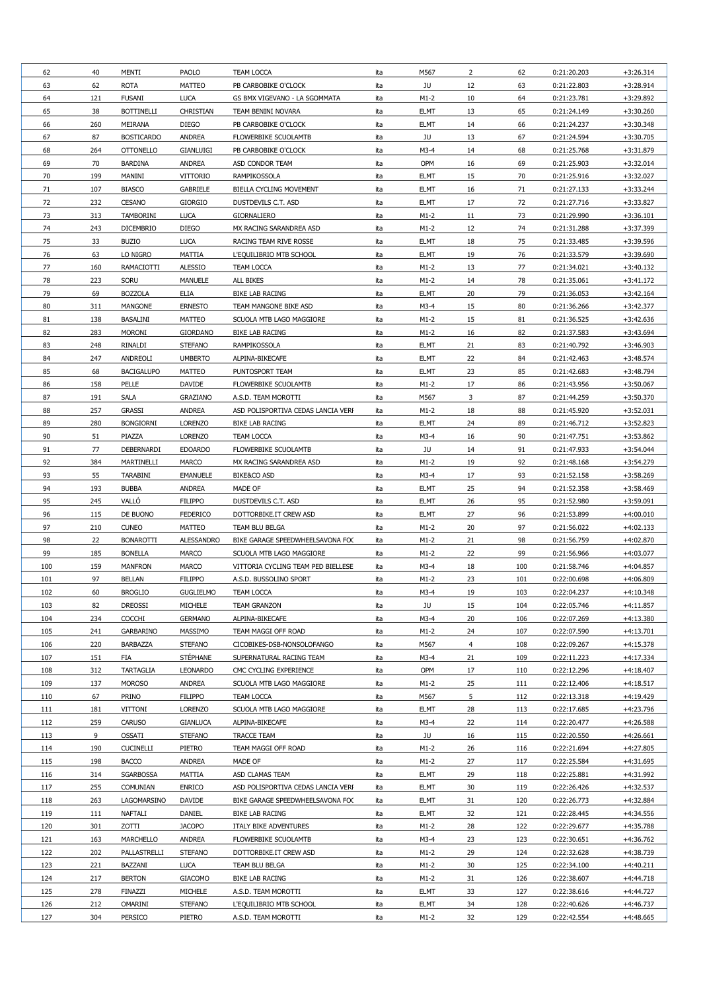| 62  | 40  | <b>MENTI</b>      | <b>PAOLO</b>      | <b>TEAM LOCCA</b>                  | ita | M567        | $\overline{2}$  | 62  | 0:21:20.203                | $+3:26.314$                |
|-----|-----|-------------------|-------------------|------------------------------------|-----|-------------|-----------------|-----|----------------------------|----------------------------|
| 63  | 62  | <b>ROTA</b>       | <b>MATTEO</b>     | PB CARBOBIKE O'CLOCK               | ita | JU          | 12              | 63  | 0:21:22.803                | $+3:28.914$                |
| 64  | 121 | <b>FUSANI</b>     | <b>LUCA</b>       | GS BMX VIGEVANO - LA SGOMMATA      | ita | $M1-2$      | 10              | 64  | 0:21:23.781                | $+3:29.892$                |
| 65  | 38  | <b>BOTTINELLI</b> | <b>CHRISTIAN</b>  | TEAM BENINI NOVARA                 | ita | <b>ELMT</b> | 13              | 65  | 0:21:24.149                | $+3:30.260$                |
| 66  | 260 | <b>MEIRANA</b>    | <b>DIEGO</b>      | PB CARBOBIKE O'CLOCK               | ita | <b>ELMT</b> | 14              | 66  | 0:21:24.237                | $+3:30.348$                |
| 67  | 87  | <b>BOSTICARDO</b> | <b>ANDREA</b>     | <b>FLOWERBIKE SCUOLAMTB</b>        | ita | JU          | 13              | 67  | 0:21:24.594                | $+3:30.705$                |
| 68  | 264 | <b>OTTONELLO</b>  | <b>GIANLUIGI</b>  | PB CARBOBIKE O'CLOCK               | ita | $M3-4$      | 14              | 68  | 0:21:25.768                | $+3:31.879$                |
| 69  | 70  | <b>BARDINA</b>    | <b>ANDREA</b>     | ASD CONDOR TEAM                    | ita | OPM         | 16              | 69  | 0:21:25.903                | $+3:32.014$                |
| 70  | 199 | <b>MANINI</b>     | <b>VITTORIO</b>   | <b>RAMPIKOSSOLA</b>                | ita | <b>ELMT</b> | 15              | 70  | 0:21:25.916                | $+3:32.027$                |
| 71  | 107 | <b>BIASCO</b>     | <b>GABRIELE</b>   | BIELLA CYCLING MOVEMENT            | ita | <b>ELMT</b> | 16              | 71  | 0:21:27.133                | $+3:33.244$                |
| 72  | 232 | <b>CESANO</b>     | <b>GIORGIO</b>    | DUSTDEVILS C.T. ASD                | ita | <b>ELMT</b> | 17              | 72  | 0:21:27.716                | $+3:33.827$                |
| 73  | 313 | <b>TAMBORINI</b>  | <b>LUCA</b>       | <b>GIORNALIERO</b>                 | ita | $M1-2$      | 11              | 73  | 0:21:29.990                | $+3:36.101$                |
| 74  | 243 | <b>DICEMBRIO</b>  | <b>DIEGO</b>      | MX RACING SARANDREA ASD            | ita | $M1-2$      | 12              | 74  | 0:21:31.288                | $+3:37.399$                |
|     |     |                   |                   |                                    |     |             |                 |     |                            |                            |
| 75  | 33  | <b>BUZIO</b>      | <b>LUCA</b>       | RACING TEAM RIVE ROSSE             | ita | <b>ELMT</b> | 18              | 75  | 0:21:33.485                | $+3:39.596$                |
| 76  | 63  | LO NIGRO          | <b>MATTIA</b>     | L'EQUILIBRIO MTB SCHOOL            | ita | <b>ELMT</b> | 19              | 76  | 0:21:33.579                | $+3:39.690$                |
| 77  | 160 | <b>RAMACIOTTI</b> | <b>ALESSIO</b>    | <b>TEAM LOCCA</b>                  | ita | $M1-2$      | 13              | 77  | 0:21:34.021                | $+3:40.132$                |
| 78  | 223 | <b>SORU</b>       | <b>MANUELE</b>    | ALL BIKES                          | ita | $M1-2$      | 14              | 78  | 0:21:35.061                | $+3:41.172$                |
| 79  | 69  | <b>BOZZOLA</b>    | <b>ELIA</b>       | <b>BIKE LAB RACING</b>             | ita | <b>ELMT</b> | 20              | 79  | 0:21:36.053                | $+3:42.164$                |
| 80  | 311 | <b>MANGONE</b>    | <b>ERNESTO</b>    | TEAM MANGONE BIKE ASD              | ita | $M3-4$      | 15              | 80  | 0:21:36.266                | $+3:42.377$                |
| 81  | 138 | <b>BASALINI</b>   | <b>MATTEO</b>     | SCUOLA MTB LAGO MAGGIORE           | ita | $M1-2$      | 15              | 81  | 0:21:36.525                | $+3:42.636$                |
| 82  | 283 | <b>MORONI</b>     | <b>GIORDANO</b>   | <b>BIKE LAB RACING</b>             | ita | $M1-2$      | 16              | 82  | 0:21:37.583                | $+3:43.694$                |
| 83  | 248 | RINALDI           | <b>STEFANO</b>    | <b>RAMPIKOSSOLA</b>                | ita | <b>ELMT</b> | 21              | 83  | 0:21:40.792                | $+3:46.903$                |
| 84  | 247 | ANDREOLI          | <b>UMBERTO</b>    | ALPINA-BIKECAFE                    | ita | <b>ELMT</b> | 22              | 84  | 0:21:42.463                | $+3:48.574$                |
| 85  | 68  | <b>BACIGALUPO</b> | <b>MATTEO</b>     | PUNTOSPORT TEAM                    | ita | <b>ELMT</b> | 23              | 85  | 0:21:42.683                | $+3:48.794$                |
| 86  | 158 | PELLE             | <b>DAVIDE</b>     | <b>FLOWERBIKE SCUOLAMTB</b>        | ita | $M1-2$      | 17              | 86  | 0:21:43.956                | $+3:50.067$                |
| 87  | 191 | <b>SALA</b>       | <b>GRAZIANO</b>   | A.S.D. TEAM MOROTTI                | ita | M567        | 3 <sup>1</sup>  | 87  | 0:21:44.259                | $+3:50.370$                |
| 88  | 257 | <b>GRASSI</b>     | <b>ANDREA</b>     | ASD POLISPORTIVA CEDAS LANCIA VERI | ita | $M1-2$      | 18              | 88  | 0:21:45.920                | $+3:52.031$                |
| 89  | 280 | <b>BONGIORNI</b>  | <b>LORENZO</b>    | <b>BIKE LAB RACING</b>             | ita | <b>ELMT</b> | 24              | 89  | 0:21:46.712                | $+3:52.823$                |
| 90  | 51  | PIAZZA            | <b>LORENZO</b>    | <b>TEAM LOCCA</b>                  | ita | $M3-4$      | 16              | 90  | 0:21:47.751                | $+3:53.862$                |
| 91  | 77  | DEBERNARDI        | <b>EDOARDO</b>    | <b>FLOWERBIKE SCUOLAMTB</b>        | ita | JU          | 14              | 91  | 0:21:47.933                | $+3:54.044$                |
| 92  | 384 | <b>MARTINELLI</b> | <b>MARCO</b>      | MX RACING SARANDREA ASD            | ita | $M1-2$      | 19              | 92  | 0:21:48.168                | $+3:54.279$                |
| 93  | 55  | <b>TARABINI</b>   | <b>EMANUELE</b>   | <b>BIKE&amp;CO ASD</b>             | ita | $M3-4$      | 17              | 93  | 0:21:52.158                | $+3:58.269$                |
| 94  | 193 | <b>BUBBA</b>      | <b>ANDREA</b>     | MADE OF                            | ita | <b>ELMT</b> | 25              | 94  | 0:21:52.358                | $+3:58.469$                |
| 95  | 245 | VALLÓ             | <b>FILIPPO</b>    | DUSTDEVILS C.T. ASD                | ita | <b>ELMT</b> | 26              | 95  | 0:21:52.980                | $+3:59.091$                |
| 96  | 115 | DE BUONO          | <b>FEDERICO</b>   | DOTTORBIKE.IT CREW ASD             | ita | <b>ELMT</b> | 27              | 96  | 0:21:53.899                | $+4:00.010$                |
| 97  | 210 | <b>CUNEO</b>      | <b>MATTEO</b>     | TEAM BLU BELGA                     | ita | $M1-2$      | 20              | 97  | 0:21:56.022                | $+4:02.133$                |
| 98  | 22  | <b>BONAROTTI</b>  | <b>ALESSANDRO</b> | BIKE GARAGE SPEEDWHEELSAVONA FOO   | ita | $M1-2$      | 21              | 98  | 0:21:56.759                | $+4:02.870$                |
| 99  | 185 | <b>BONELLA</b>    | <b>MARCO</b>      | SCUOLA MTB LAGO MAGGIORE           | ita | $M1-2$      | 22              | 99  | 0:21:56.966                | $+4:03.077$                |
| 100 | 159 | <b>MANFRON</b>    | <b>MARCO</b>      | VITTORIA CYCLING TEAM PED BIELLESE | ita | $M3-4$      | 18              | 100 | 0:21:58.746                | $+4:04.857$                |
| 101 | 97  | <b>BELLAN</b>     | <b>FILIPPO</b>    | A.S.D. BUSSOLINO SPORT             | ita | $M1-2$      | 23              | 101 | 0:22:00.698                | $+4:06.809$                |
| 102 | 60  | <b>BROGLIO</b>    | <b>GUGLIELMO</b>  | <b>TEAM LOCCA</b>                  | ita | $M3-4$      | 19              | 103 | 0:22:04.237                | $+4:10.348$                |
| 103 | 82  | <b>DREOSSI</b>    | <b>MICHELE</b>    | <b>TEAM GRANZON</b>                | ita | JU          | 15              | 104 | 0:22:05.746                | $+4:11.857$                |
| 104 | 234 | <b>COCCHI</b>     | <b>GERMANO</b>    | ALPINA-BIKECAFE                    | ita | $M3-4$      | 20              | 106 | 0:22:07.269                | $+4:13.380$                |
| 105 | 241 | <b>GARBARINO</b>  | <b>MASSIMO</b>    | TEAM MAGGI OFF ROAD                | ita | $M1-2$      | 24              | 107 | 0:22:07.590                | $+4:13.701$                |
| 106 | 220 | <b>BARBAZZA</b>   | <b>STEFANO</b>    | CICOBIKES-DSB-NONSOLOFANGO         | ita | M567        |                 | 108 | 0:22:09.267                | $+4:15.378$                |
| 107 | 151 | <b>FIA</b>        | <b>STÉPHANE</b>   | SUPERNATURAL RACING TEAM           | ita | $M3-4$      | 21              | 109 |                            |                            |
| 108 | 312 | <b>TARTAGLIA</b>  | <b>LEONARDO</b>   | CMC CYCLING EXPERIENCE             | ita | <b>OPM</b>  | 17              | 110 | 0:22:11.223<br>0:22:12.296 | $+4:17.334$<br>$+4:18.407$ |
|     |     |                   |                   | SCUOLA MTB LAGO MAGGIORE           |     |             |                 |     |                            |                            |
| 109 | 137 | <b>MOROSO</b>     | <b>ANDREA</b>     |                                    | ita | $M1-2$      | 25              | 111 | 0:22:12.406                | $+4:18.517$                |
| 110 | 67  | PRINO             | <b>FILIPPO</b>    | <b>TEAM LOCCA</b>                  | ita | M567        | 5.              | 112 | 0:22:13.318                | $+4:19.429$                |
| 111 | 181 | <b>VITTONI</b>    | <b>LORENZO</b>    | SCUOLA MTB LAGO MAGGIORE           | ita | <b>ELMT</b> | 28              | 113 | 0:22:17.685                | +4:23.796                  |
| 112 | 259 | <b>CARUSO</b>     | <b>GIANLUCA</b>   | ALPINA-BIKECAFE                    | ita | $M3-4$      | 22              | 114 | 0:22:20.477                | $+4:26.588$                |
| 113 | 9   | <b>OSSATI</b>     | <b>STEFANO</b>    | <b>TRACCE TEAM</b>                 | ita | JU          | 16              | 115 | 0:22:20.550                | $+4:26.661$                |
| 114 | 190 | <b>CUCINELLI</b>  | PIETRO            | TEAM MAGGI OFF ROAD                | ita | $M1-2$      | 26              | 116 | 0:22:21.694                | $+4:27.805$                |
| 115 | 198 | <b>BACCO</b>      | ANDREA            | MADE OF                            | ita | $M1-2$      | 27              | 117 | 0:22:25.584                | $+4:31.695$                |
| 116 | 314 | <b>SGARBOSSA</b>  | <b>MATTIA</b>     | ASD CLAMAS TEAM                    | ita | <b>ELMT</b> | 29              | 118 | 0:22:25.881                | +4:31.992                  |
| 117 | 255 | <b>COMUNIAN</b>   | <b>ENRICO</b>     | ASD POLISPORTIVA CEDAS LANCIA VERI | ita | <b>ELMT</b> | 30 <sup>°</sup> | 119 | 0:22:26.426                | +4:32.537                  |
| 118 | 263 | LAGOMARSINO       | <b>DAVIDE</b>     | BIKE GARAGE SPEEDWHEELSAVONA FO(   | ita | <b>ELMT</b> | 31              | 120 | 0:22:26.773                | +4:32.884                  |
| 119 | 111 | <b>NAFTALI</b>    | <b>DANIEL</b>     | <b>BIKE LAB RACING</b>             | ita | <b>ELMT</b> | 32              | 121 | 0:22:28.445                | +4:34.556                  |
| 120 | 301 | ZOTTI             | <b>JACOPO</b>     | ITALY BIKE ADVENTURES              | ita | $M1-2$      | 28              | 122 | 0:22:29.677                | +4:35.788                  |
| 121 | 163 | <b>MARCHELLO</b>  | <b>ANDREA</b>     | <b>FLOWERBIKE SCUOLAMTB</b>        | ita | $M3-4$      | 23              | 123 | 0:22:30.651                | $+4:36.762$                |
| 122 | 202 | PALLASTRELLI      | <b>STEFANO</b>    | DOTTORBIKE.IT CREW ASD             | ita | $M1-2$      | 29              | 124 | 0:22:32.628                | +4:38.739                  |
| 123 | 221 | BAZZANI           | <b>LUCA</b>       | TEAM BLU BELGA                     | ita | $M1-2$      | 30              | 125 | 0:22:34.100                | $+4:40.211$                |
| 124 | 217 | <b>BERTON</b>     | <b>GIACOMO</b>    | <b>BIKE LAB RACING</b>             | ita | $M1-2$      | 31              | 126 | 0:22:38.607                | $+4:44.718$                |
| 125 | 278 | <b>FINAZZI</b>    | <b>MICHELE</b>    | A.S.D. TEAM MOROTTI                | ita | <b>ELMT</b> | 33              | 127 | 0:22:38.616                | +4:44.727                  |
|     |     |                   | <b>STEFANO</b>    | L'EQUILIBRIO MTB SCHOOL            | ita | <b>ELMT</b> | 34              | 128 | 0:22:40.626                | $+4:46.737$                |
| 126 | 212 | <b>OMARINI</b>    |                   |                                    |     |             |                 |     |                            |                            |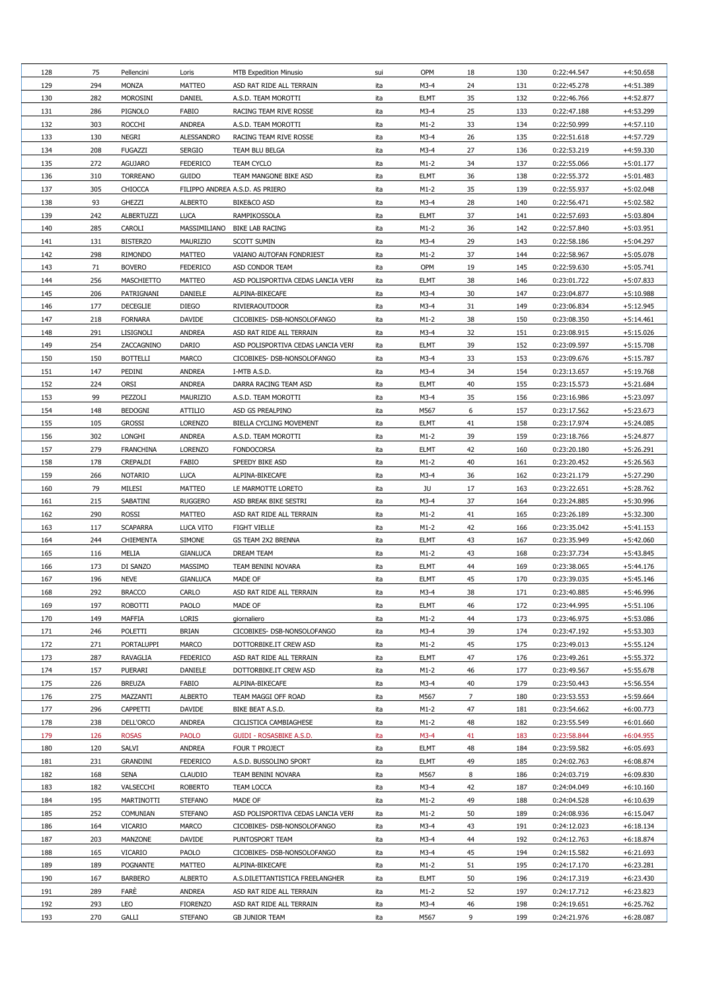| 128 | 75  | Pellencini        | Loris             | <b>MTB Expedition Minusio</b>      | sui | <b>OPM</b>  | 18 | 130 | 0:22:44.547 | $+4:50.658$ |
|-----|-----|-------------------|-------------------|------------------------------------|-----|-------------|----|-----|-------------|-------------|
| 129 | 294 | <b>MONZA</b>      | <b>MATTEO</b>     | ASD RAT RIDE ALL TERRAIN           | ita | $M3-4$      | 24 | 131 | 0:22:45.278 | $+4:51.389$ |
| 130 | 282 | <b>MOROSINI</b>   | <b>DANIEL</b>     | A.S.D. TEAM MOROTTI                | ita | <b>ELMT</b> | 35 | 132 | 0:22:46.766 | $+4:52.877$ |
| 131 | 286 | PIGNOLO           | FABIO             | RACING TEAM RIVE ROSSE             | ita | $M3-4$      | 25 | 133 | 0:22:47.188 | +4:53.299   |
| 132 | 303 | <b>ROCCHI</b>     | <b>ANDREA</b>     | A.S.D. TEAM MOROTTI                | ita | $M1-2$      | 33 | 134 | 0:22:50.999 | $+4:57.110$ |
| 133 | 130 | <b>NEGRI</b>      | <b>ALESSANDRO</b> | RACING TEAM RIVE ROSSE             | ita | $M3-4$      | 26 | 135 | 0:22:51.618 | $+4:57.729$ |
| 134 | 208 | <b>FUGAZZI</b>    | <b>SERGIO</b>     | TEAM BLU BELGA                     | ita | $M3-4$      | 27 | 136 | 0:22:53.219 | +4:59.330   |
| 135 | 272 | <b>AGUJARO</b>    | <b>FEDERICO</b>   | <b>TEAM CYCLO</b>                  | ita | $M1-2$      | 34 | 137 | 0:22:55.066 | $+5:01.177$ |
| 136 | 310 | <b>TORREANO</b>   | <b>GUIDO</b>      | TEAM MANGONE BIKE ASD              | ita | <b>ELMT</b> | 36 | 138 | 0:22:55.372 | $+5:01.483$ |
| 137 |     | <b>CHIOCCA</b>    |                   |                                    | ita | $M1-2$      |    | 139 |             |             |
|     | 305 |                   |                   | FILIPPO ANDREA A.S.D. AS PRIERO    |     |             | 35 |     | 0:22:55.937 | $+5:02.048$ |
| 138 | 93  | <b>GHEZZI</b>     | <b>ALBERTO</b>    | <b>BIKE&amp;CO ASD</b>             | ita | $M3-4$      | 28 | 140 | 0:22:56.471 | $+5:02.582$ |
| 139 | 242 | ALBERTUZZI        | <b>LUCA</b>       | <b>RAMPIKOSSOLA</b>                | ita | <b>ELMT</b> | 37 | 141 | 0:22:57.693 | $+5:03.804$ |
| 140 | 285 | CAROLI            | MASSIMILIANO      | <b>BIKE LAB RACING</b>             | ita | $M1-2$      | 36 | 142 | 0:22:57.840 | $+5:03.951$ |
| 141 | 131 | <b>BISTERZO</b>   | MAURIZIO          | <b>SCOTT SUMIN</b>                 | ita | $M3-4$      | 29 | 143 | 0:22:58.186 | $+5:04.297$ |
| 142 | 298 | <b>RIMONDO</b>    | <b>MATTEO</b>     | VAIANO AUTOFAN FONDRIEST           | ita | $M1-2$      | 37 | 144 | 0:22:58.967 | $+5:05.078$ |
| 143 | 71  | <b>BOVERO</b>     | <b>FEDERICO</b>   | ASD CONDOR TEAM                    | ita | <b>OPM</b>  | 19 | 145 | 0:22:59.630 | $+5:05.741$ |
| 144 | 256 | MASCHIETTO        | <b>MATTEO</b>     | ASD POLISPORTIVA CEDAS LANCIA VERI | ita | <b>ELMT</b> | 38 | 146 | 0:23:01.722 | $+5:07.833$ |
| 145 | 206 | PATRIGNANI        | <b>DANIELE</b>    | ALPINA-BIKECAFE                    | ita | $M3-4$      | 30 | 147 | 0:23:04.877 | $+5:10.988$ |
| 146 | 177 | <b>DECEGLIE</b>   | <b>DIEGO</b>      | <b>RIVIERAOUTDOOR</b>              | ita | $M3-4$      | 31 | 149 | 0:23:06.834 | $+5:12.945$ |
| 147 | 218 | <b>FORNARA</b>    | <b>DAVIDE</b>     | CICOBIKES- DSB-NONSOLOFANGO        | ita | $M1-2$      | 38 | 150 | 0:23:08.350 | $+5:14.461$ |
| 148 | 291 | <b>LISIGNOLI</b>  | <b>ANDREA</b>     | ASD RAT RIDE ALL TERRAIN           | ita | $M3-4$      | 32 | 151 | 0:23:08.915 | $+5:15.026$ |
| 149 | 254 | ZACCAGNINO        | <b>DARIO</b>      | ASD POLISPORTIVA CEDAS LANCIA VERI | ita | <b>ELMT</b> | 39 | 152 | 0:23:09.597 | $+5:15.708$ |
| 150 | 150 | <b>BOTTELLI</b>   | <b>MARCO</b>      | CICOBIKES- DSB-NONSOLOFANGO        | ita | $M3-4$      | 33 | 153 | 0:23:09.676 | $+5:15.787$ |
| 151 | 147 | PEDINI            | <b>ANDREA</b>     | I-MTB A.S.D.                       | ita | $M3-4$      | 34 | 154 | 0:23:13.657 | $+5:19.768$ |
| 152 | 224 | <b>ORSI</b>       | <b>ANDREA</b>     | DARRA RACING TEAM ASD              | ita | <b>ELMT</b> | 40 | 155 | 0:23:15.573 | $+5:21.684$ |
| 153 | 99  | PEZZOLI           | MAURIZIO          | A.S.D. TEAM MOROTTI                | ita | $M3-4$      | 35 | 156 | 0:23:16.986 | $+5:23.097$ |
| 154 | 148 | <b>BEDOGNI</b>    | <b>ATTILIO</b>    | ASD GS PREALPINO                   | ita | M567        | 6  | 157 | 0:23:17.562 | $+5:23.673$ |
| 155 | 105 | <b>GROSSI</b>     | <b>LORENZO</b>    | <b>BIELLA CYCLING MOVEMENT</b>     | ita | <b>ELMT</b> | 41 | 158 | 0:23:17.974 | $+5:24.085$ |
| 156 | 302 | <b>LONGHI</b>     | <b>ANDREA</b>     | A.S.D. TEAM MOROTTI                | ita | $M1-2$      | 39 | 159 | 0:23:18.766 | $+5:24.877$ |
| 157 | 279 | <b>FRANCHINA</b>  | <b>LORENZO</b>    | <b>FONDOCORSA</b>                  | ita | <b>ELMT</b> | 42 | 160 | 0:23:20.180 | $+5:26.291$ |
| 158 | 178 | <b>CREPALDI</b>   | FABIO             | SPEEDY BIKE ASD                    | ita | $M1-2$      | 40 | 161 | 0:23:20.452 | $+5:26.563$ |
| 159 | 266 | <b>NOTARIO</b>    | <b>LUCA</b>       | ALPINA-BIKECAFE                    | ita | $M3-4$      | 36 | 162 | 0:23:21.179 | $+5:27.290$ |
| 160 | 79  | MILESI            | <b>MATTEO</b>     | LE MARMOTTE LORETO                 | ita | JU          | 17 | 163 | 0:23:22.651 | $+5:28.762$ |
|     |     |                   |                   |                                    |     |             |    |     |             |             |
| 161 | 215 | SABATINI          | <b>RUGGERO</b>    | ASD BREAK BIKE SESTRI              | ita | $M3-4$      | 37 | 164 | 0:23:24.885 | $+5:30.996$ |
| 162 | 290 | <b>ROSSI</b>      | <b>MATTEO</b>     | ASD RAT RIDE ALL TERRAIN           | ita | $M1-2$      | 41 | 165 | 0:23:26.189 | $+5:32.300$ |
| 163 | 117 | <b>SCAPARRA</b>   | <b>LUCA VITO</b>  | <b>FIGHT VIELLE</b>                | ita | $M1-2$      | 42 | 166 | 0:23:35.042 | $+5:41.153$ |
| 164 | 244 | <b>CHIEMENTA</b>  | <b>SIMONE</b>     | GS TEAM 2X2 BRENNA                 | ita | <b>ELMT</b> | 43 | 167 | 0:23:35.949 | $+5:42.060$ |
| 165 | 116 | <b>MELIA</b>      | <b>GIANLUCA</b>   | <b>DREAM TEAM</b>                  | ita | $M1-2$      | 43 | 168 | 0:23:37.734 | $+5:43.845$ |
| 166 | 173 | DI SANZO          | <b>MASSIMO</b>    | TEAM BENINI NOVARA                 | ita | <b>ELMT</b> | 44 | 169 | 0:23:38.065 | $+5:44.176$ |
| 167 | 196 | <b>NEVE</b>       | <b>GIANLUCA</b>   | MADE OF                            | ita | <b>ELMT</b> | 45 | 170 | 0:23:39.035 | $+5:45.146$ |
| 168 | 292 | <b>BRACCO</b>     | <b>CARLO</b>      | ASD RAT RIDE ALL TERRAIN           | ita | $M3-4$      | 38 | 171 | 0:23:40.885 | $+5:46.996$ |
| 169 | 197 | <b>ROBOTTI</b>    | <b>PAOLO</b>      | MADE OF                            | ita | <b>ELMT</b> | 46 | 172 | 0:23:44.995 | $+5:51.106$ |
| 170 | 149 | <b>MAFFIA</b>     | <b>LORIS</b>      | giornaliero                        | ita | $M1-2$      | 44 | 173 | 0:23:46.975 | $+5:53.086$ |
| 171 | 246 | POLETTI           | <b>BRIAN</b>      | CICOBIKES- DSB-NONSOLOFANGO        | ita | $M3-4$      | 39 | 174 | 0:23:47.192 | $+5:53.303$ |
| 172 | 271 | <b>PORTALUPPI</b> | <b>MARCO</b>      | DOTTORBIKE.IT CREW ASD             | ita | $M1-2$      | 45 | 175 | 0:23:49.013 | $+5:55.124$ |
| 173 | 287 | <b>RAVAGLIA</b>   | <b>FEDERICO</b>   | ASD RAT RIDE ALL TERRAIN           | ita | <b>ELMT</b> | 47 | 176 | 0:23:49.261 | $+5:55.372$ |
| 174 | 157 | PUERARI           | <b>DANIELE</b>    | DOTTORBIKE.IT CREW ASD             | ita | $M1-2$      | 46 | 177 | 0:23:49.567 | $+5:55.678$ |
| 175 | 226 | <b>BREUZA</b>     | FABIO             | ALPINA-BIKECAFE                    | ita | $M3-4$      | 40 | 179 | 0:23:50.443 | $+5:56.554$ |
| 176 | 275 | MAZZANTI          | <b>ALBERTO</b>    | TEAM MAGGI OFF ROAD                | ita | M567        | 7  | 180 | 0:23:53.553 | $+5:59.664$ |
| 177 | 296 | <b>CAPPETTI</b>   | <b>DAVIDE</b>     | BIKE BEAT A.S.D.                   | ita | $M1-2$      | 47 | 181 | 0:23:54.662 | $+6:00.773$ |
| 178 | 238 | DELL'ORCO         | <b>ANDREA</b>     | CICLISTICA CAMBIAGHESE             | ita | $M1-2$      | 48 | 182 | 0:23:55.549 | $+6:01.660$ |
| 179 | 126 | <b>ROSAS</b>      | <b>PAOLO</b>      | <b>GUIDI - ROSASBIKE A.S.D.</b>    | ita | $M3-4$      | 41 | 183 | 0:23:58.844 | $+6:04.955$ |
| 180 | 120 | SALVI             | <b>ANDREA</b>     | FOUR T PROJECT                     | ita | <b>ELMT</b> | 48 | 184 | 0:23:59.582 | $+6:05.693$ |
| 181 | 231 | <b>GRANDINI</b>   | <b>FEDERICO</b>   | A.S.D. BUSSOLINO SPORT             | ita | <b>ELMT</b> | 49 | 185 | 0:24:02.763 | $+6:08.874$ |
| 182 | 168 | <b>SENA</b>       | <b>CLAUDIO</b>    | <b>TEAM BENINI NOVARA</b>          | ita | M567        | 8  | 186 | 0:24:03.719 | $+6:09.830$ |
| 183 | 182 | VALSECCHI         | <b>ROBERTO</b>    | <b>TEAM LOCCA</b>                  | ita | $M3-4$      | 42 | 187 | 0:24:04.049 | $+6:10.160$ |
| 184 | 195 | <b>MARTINOTTI</b> | <b>STEFANO</b>    | MADE OF                            | ita | $M1-2$      | 49 | 188 | 0:24:04.528 | $+6:10.639$ |
| 185 | 252 | <b>COMUNIAN</b>   | <b>STEFANO</b>    | ASD POLISPORTIVA CEDAS LANCIA VERI | ita | $M1-2$      | 50 | 189 | 0:24:08.936 | $+6:15.047$ |
| 186 | 164 | <b>VICARIO</b>    | <b>MARCO</b>      | CICOBIKES- DSB-NONSOLOFANGO        | ita | $M3-4$      | 43 | 191 | 0:24:12.023 | $+6:18.134$ |
| 187 | 203 | <b>MANZONE</b>    | <b>DAVIDE</b>     | PUNTOSPORT TEAM                    | ita | $M3-4$      | 44 | 192 | 0:24:12.763 | $+6:18.874$ |
| 188 | 165 | <b>VICARIO</b>    | <b>PAOLO</b>      | CICOBIKES- DSB-NONSOLOFANGO        | ita | $M3-4$      | 45 | 194 | 0:24:15.582 | $+6:21.693$ |
|     |     |                   |                   |                                    |     |             |    |     |             |             |
| 189 | 189 | <b>POGNANTE</b>   | <b>MATTEO</b>     | ALPINA-BIKECAFE                    | ita | $M1-2$      | 51 | 195 | 0:24:17.170 | $+6:23.281$ |
| 190 | 167 | <b>BARBERO</b>    | <b>ALBERTO</b>    | A.S.DILETTANTISTICA FREELANGHER    | ita | <b>ELMT</b> | 50 | 196 | 0:24:17.319 | $+6:23.430$ |
| 191 | 289 | FARE              | <b>ANDREA</b>     | ASD RAT RIDE ALL TERRAIN           | ita | $M1-2$      | 52 | 197 | 0:24:17.712 | $+6:23.823$ |
| 192 | 293 | <b>LEO</b>        | <b>FIORENZO</b>   | ASD RAT RIDE ALL TERRAIN           | ita | $M3-4$      | 46 | 198 | 0:24:19.651 | $+6:25.762$ |
| 193 | 270 | <b>GALLI</b>      | <b>STEFANO</b>    | <b>GB JUNIOR TEAM</b>              | ita | M567        | 9  | 199 | 0:24:21.976 | $+6:28.087$ |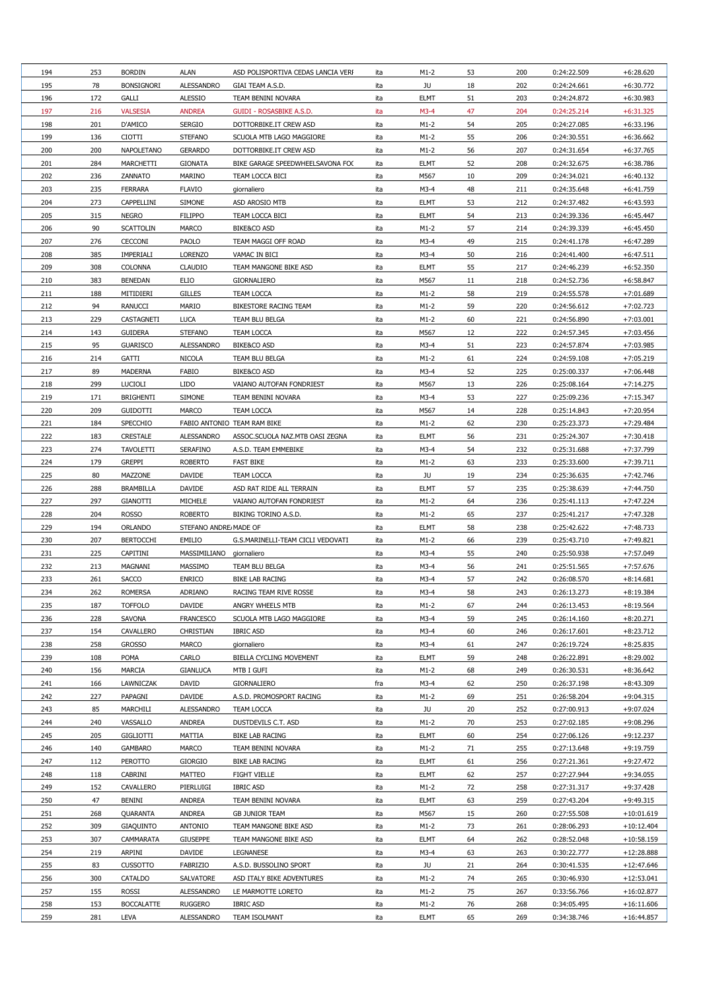| 194 | 253 | <b>BORDIN</b>     | <b>ALAN</b>           | ASD POLISPORTIVA CEDAS LANCIA VERI | ita | $M1-2$      | 53 | 200 | 0:24:22.509 | $+6:28.620$  |
|-----|-----|-------------------|-----------------------|------------------------------------|-----|-------------|----|-----|-------------|--------------|
| 195 | 78  | <b>BONSIGNORI</b> | <b>ALESSANDRO</b>     | GIAI TEAM A.S.D.                   | ita | JU          | 18 | 202 | 0:24:24.661 | $+6:30.772$  |
| 196 | 172 | <b>GALLI</b>      | <b>ALESSIO</b>        | TEAM BENINI NOVARA                 | ita | <b>ELMT</b> | 51 | 203 | 0:24:24.872 | $+6:30.983$  |
| 197 | 216 | <b>VALSESIA</b>   | <b>ANDREA</b>         | <b>GUIDI - ROSASBIKE A.S.D.</b>    | ita | $M3-4$      | 47 | 204 | 0:24:25.214 | $+6:31.325$  |
| 198 | 201 | D'AMICO           | <b>SERGIO</b>         | DOTTORBIKE.IT CREW ASD             | ita | $M1-2$      | 54 | 205 | 0:24:27.085 | $+6:33.196$  |
| 199 | 136 | <b>CIOTTI</b>     | <b>STEFANO</b>        | SCUOLA MTB LAGO MAGGIORE           | ita | $M1-2$      | 55 | 206 | 0:24:30.551 | $+6:36.662$  |
| 200 | 200 | <b>NAPOLETANO</b> | <b>GERARDO</b>        | DOTTORBIKE.IT CREW ASD             | ita | $M1-2$      | 56 | 207 | 0:24:31.654 | $+6:37.765$  |
| 201 | 284 | <b>MARCHETTI</b>  | <b>GIONATA</b>        | BIKE GARAGE SPEEDWHEELSAVONA FO(   | ita | <b>ELMT</b> | 52 | 208 | 0:24:32.675 | $+6:38.786$  |
| 202 | 236 | ZANNATO           | <b>MARINO</b>         | TEAM LOCCA BICI                    | ita | M567        | 10 | 209 | 0:24:34.021 | $+6:40.132$  |
| 203 | 235 | <b>FERRARA</b>    | <b>FLAVIO</b>         | giornaliero                        | ita | $M3-4$      | 48 | 211 | 0:24:35.648 | $+6:41.759$  |
|     | 273 | <b>CAPPELLINI</b> | <b>SIMONE</b>         |                                    |     |             |    |     |             | $+6:43.593$  |
| 204 |     |                   |                       | ASD AROSIO MTB                     | ita | <b>ELMT</b> | 53 | 212 | 0:24:37.482 |              |
| 205 | 315 | <b>NEGRO</b>      | <b>FILIPPO</b>        | TEAM LOCCA BICI                    | ita | <b>ELMT</b> | 54 | 213 | 0:24:39.336 | $+6:45.447$  |
| 206 | 90  | <b>SCATTOLIN</b>  | <b>MARCO</b>          | <b>BIKE&amp;CO ASD</b>             | ita | $M1-2$      | 57 | 214 | 0:24:39.339 | $+6:45.450$  |
| 207 | 276 | <b>CECCONI</b>    | <b>PAOLO</b>          | TEAM MAGGI OFF ROAD                | ita | $M3-4$      | 49 | 215 | 0:24:41.178 | $+6:47.289$  |
| 208 | 385 | <b>IMPERIALI</b>  | <b>LORENZO</b>        | VAMAC IN BICI                      | ita | $M3-4$      | 50 | 216 | 0:24:41.400 | $+6:47.511$  |
| 209 | 308 | <b>COLONNA</b>    | <b>CLAUDIO</b>        | TEAM MANGONE BIKE ASD              | ita | <b>ELMT</b> | 55 | 217 | 0:24:46.239 | $+6:52.350$  |
| 210 | 383 | <b>BENEDAN</b>    | <b>ELIO</b>           | <b>GIORNALIERO</b>                 | ita | M567        | 11 | 218 | 0:24:52.736 | $+6:58.847$  |
| 211 | 188 | MITIDIERI         | <b>GILLES</b>         | <b>TEAM LOCCA</b>                  | ita | $M1-2$      | 58 | 219 | 0:24:55.578 | $+7:01.689$  |
| 212 | 94  | <b>RANUCCI</b>    | <b>MARIO</b>          | <b>BIKESTORE RACING TEAM</b>       | ita | $M1-2$      | 59 | 220 | 0:24:56.612 | $+7:02.723$  |
| 213 | 229 | CASTAGNETI        | <b>LUCA</b>           | <b>TEAM BLU BELGA</b>              | ita | $M1-2$      | 60 | 221 | 0:24:56.890 | $+7:03.001$  |
| 214 | 143 | <b>GUIDERA</b>    | <b>STEFANO</b>        | <b>TEAM LOCCA</b>                  | ita | M567        | 12 | 222 | 0:24:57.345 | $+7:03.456$  |
| 215 | 95  | <b>GUARISCO</b>   | <b>ALESSANDRO</b>     | <b>BIKE&amp;CO ASD</b>             | ita | $M3-4$      | 51 | 223 | 0:24:57.874 | $+7:03.985$  |
| 216 | 214 | <b>GATTI</b>      | <b>NICOLA</b>         | TEAM BLU BELGA                     | ita | $M1-2$      | 61 | 224 | 0:24:59.108 | $+7:05.219$  |
| 217 | 89  | <b>MADERNA</b>    | FABIO                 | <b>BIKE&amp;CO ASD</b>             | ita | $M3-4$      | 52 | 225 | 0:25:00.337 | $+7:06.448$  |
| 218 | 299 | <b>LUCIOLI</b>    | <b>LIDO</b>           | VAIANO AUTOFAN FONDRIEST           | ita | M567        | 13 | 226 | 0:25:08.164 | $+7:14.275$  |
| 219 | 171 | <b>BRIGHENTI</b>  | <b>SIMONE</b>         | TEAM BENINI NOVARA                 | ita | $M3-4$      | 53 | 227 | 0:25:09.236 | $+7:15.347$  |
| 220 | 209 | <b>GUIDOTTI</b>   | <b>MARCO</b>          | <b>TEAM LOCCA</b>                  | ita | M567        | 14 | 228 | 0:25:14.843 | $+7:20.954$  |
| 221 | 184 | <b>SPECCHIO</b>   |                       | FABIO ANTONIO TEAM RAM BIKE        | ita | $M1-2$      | 62 | 230 | 0:25:23.373 | $+7:29.484$  |
| 222 | 183 | <b>CRESTALE</b>   | <b>ALESSANDRO</b>     | ASSOC.SCUOLA NAZ.MTB OASI ZEGNA    | ita | <b>ELMT</b> | 56 | 231 | 0:25:24.307 | $+7:30.418$  |
| 223 | 274 | <b>TAVOLETTI</b>  | <b>SERAFINO</b>       | A.S.D. TEAM EMMEBIKE               | ita | $M3-4$      | 54 | 232 | 0:25:31.688 | +7:37.799    |
| 224 | 179 | <b>GREPPI</b>     | <b>ROBERTO</b>        | <b>FAST BIKE</b>                   | ita | $M1-2$      | 63 | 233 | 0:25:33.600 | $+7:39.711$  |
| 225 | 80  | <b>MAZZONE</b>    | <b>DAVIDE</b>         | <b>TEAM LOCCA</b>                  | ita | JU          | 19 | 234 | 0:25:36.635 | $+7:42.746$  |
| 226 | 288 | <b>BRAMBILLA</b>  | <b>DAVIDE</b>         | ASD RAT RIDE ALL TERRAIN           | ita | <b>ELMT</b> | 57 | 235 | 0:25:38.639 | $+7:44.750$  |
| 227 | 297 | <b>GIANOTTI</b>   | <b>MICHELE</b>        | VAIANO AUTOFAN FONDRIEST           | ita | $M1-2$      | 64 | 236 | 0:25:41.113 | $+7:47.224$  |
| 228 | 204 | <b>ROSSO</b>      | <b>ROBERTO</b>        | BIKING TORINO A.S.D.               | ita | $M1-2$      | 65 | 237 | 0:25:41.217 | $+7:47.328$  |
| 229 | 194 | <b>ORLANDO</b>    | STEFANO ANDRE MADE OF |                                    | ita | <b>ELMT</b> | 58 | 238 | 0:25:42.622 | $+7:48.733$  |
| 230 | 207 | <b>BERTOCCHI</b>  | EMILIO                | G.S.MARINELLI-TEAM CICLI VEDOVATI  | ita | $M1-2$      | 66 | 239 | 0:25:43.710 | $+7:49.821$  |
| 231 | 225 | <b>CAPITINI</b>   | MASSIMILIANO          | giornaliero                        | ita | $M3-4$      | 55 | 240 | 0:25:50.938 | $+7:57.049$  |
| 232 | 213 | <b>MAGNANI</b>    | <b>MASSIMO</b>        | TEAM BLU BELGA                     | ita | $M3-4$      | 56 | 241 | 0:25:51.565 | $+7:57.676$  |
| 233 | 261 | <b>SACCO</b>      | <b>ENRICO</b>         | <b>BIKE LAB RACING</b>             | ita | $M3-4$      | 57 | 242 | 0:26:08.570 | $+8:14.681$  |
| 234 | 262 | <b>ROMERSA</b>    | <b>ADRIANO</b>        | RACING TEAM RIVE ROSSE             | ita | $M3-4$      | 58 | 243 | 0:26:13.273 | $+8:19.384$  |
| 235 | 187 | <b>TOFFOLO</b>    | <b>DAVIDE</b>         | ANGRY WHEELS MTB                   | ita | $M1-2$      | 67 | 244 | 0:26:13.453 | $+8:19.564$  |
|     |     |                   |                       |                                    |     |             |    |     |             |              |
| 236 | 228 | SAVONA            | <b>FRANCESCO</b>      | SCUOLA MTB LAGO MAGGIORE           | ita | $M3-4$      | 59 | 245 | 0:26:14.160 | $+8:20.271$  |
| 237 | 154 | <b>CAVALLERO</b>  | <b>CHRISTIAN</b>      | <b>IBRIC ASD</b>                   | ita | $M3-4$      | 60 | 246 | 0:26:17.601 | $+8:23.712$  |
| 238 | 258 | <b>GROSSO</b>     | <b>MARCO</b>          | giornaliero                        | ita | $M3-4$      | 61 | 247 | 0:26:19.724 | $+8:25.835$  |
| 239 | 108 | <b>POMA</b>       | <b>CARLO</b>          | <b>BIELLA CYCLING MOVEMENT</b>     | ita | <b>ELMT</b> | 59 | 248 | 0:26:22.891 | $+8:29.002$  |
| 240 | 156 | <b>MARCIA</b>     | <b>GIANLUCA</b>       | MTB I GUFI                         | ita | $M1-2$      | 68 | 249 | 0:26:30.531 | $+8.36.642$  |
| 241 | 166 | LAWNICZAK         | <b>DAVID</b>          | GIORNALIERO                        | fra | $M3-4$      | 62 | 250 | 0:26:37.198 | $+8:43.309$  |
| 242 | 227 | PAPAGNI           | <b>DAVIDE</b>         | A.S.D. PROMOSPORT RACING           | ita | $M1-2$      | 69 | 251 | 0:26:58.204 | $+9:04.315$  |
| 243 | 85  | MARCHILI          | <b>ALESSANDRO</b>     | <b>TEAM LOCCA</b>                  | ita | JU          | 20 | 252 | 0:27:00.913 | $+9:07.024$  |
| 244 | 240 | VASSALLO          | <b>ANDREA</b>         | DUSTDEVILS C.T. ASD                | ita | $M1-2$      | 70 | 253 | 0:27:02.185 | $+9:08.296$  |
| 245 | 205 | <b>GIGLIOTTI</b>  | <b>MATTIA</b>         | <b>BIKE LAB RACING</b>             | ita | <b>ELMT</b> | 60 | 254 | 0:27:06.126 | $+9:12.237$  |
| 246 | 140 | <b>GAMBARO</b>    | <b>MARCO</b>          | TEAM BENINI NOVARA                 | ita | $M1-2$      | 71 | 255 | 0:27:13.648 | $+9:19.759$  |
| 247 | 112 | <b>PEROTTO</b>    | <b>GIORGIO</b>        | <b>BIKE LAB RACING</b>             | ita | <b>ELMT</b> | 61 | 256 | 0:27:21.361 | $+9:27.472$  |
| 248 | 118 | <b>CABRINI</b>    | <b>MATTEO</b>         | <b>FIGHT VIELLE</b>                | ita | <b>ELMT</b> | 62 | 257 | 0:27:27.944 | $+9:34.055$  |
| 249 | 152 | <b>CAVALLERO</b>  | PIERLUIGI             | <b>IBRIC ASD</b>                   | ita | $M1-2$      | 72 | 258 | 0:27:31.317 | $+9:37.428$  |
| 250 | 47  | <b>BENINI</b>     | <b>ANDREA</b>         | TEAM BENINI NOVARA                 | ita | <b>ELMT</b> | 63 | 259 | 0:27:43.204 | $+9:49.315$  |
| 251 | 268 | <b>QUARANTA</b>   | <b>ANDREA</b>         | <b>GB JUNIOR TEAM</b>              | ita | M567        | 15 | 260 | 0:27:55.508 | $+10:01.619$ |
| 252 | 309 | <b>GIAQUINTO</b>  | <b>ANTONIO</b>        | TEAM MANGONE BIKE ASD              | ita | $M1-2$      | 73 | 261 | 0:28:06.293 | $+10:12.404$ |
| 253 | 307 | <b>CAMMARATA</b>  | <b>GIUSEPPE</b>       | TEAM MANGONE BIKE ASD              | ita | <b>ELMT</b> | 64 | 262 | 0:28:52.048 | $+10:58.159$ |
| 254 | 219 | ARPINI            | <b>DAVIDE</b>         | <b>LEGNANESE</b>                   | ita | $M3-4$      | 63 | 263 | 0:30:22.777 | $+12:28.888$ |
| 255 | 83  | <b>CUSSOTTO</b>   | <b>FABRIZIO</b>       | A.S.D. BUSSOLINO SPORT             | ita | JU          | 21 | 264 | 0:30:41.535 | $+12:47.646$ |
| 256 | 300 | <b>CATALDO</b>    | SALVATORE             | ASD ITALY BIKE ADVENTURES          | ita | $M1-2$      | 74 | 265 | 0:30:46.930 | $+12:53.041$ |
| 257 | 155 | <b>ROSSI</b>      | <b>ALESSANDRO</b>     | LE MARMOTTE LORETO                 | ita | $M1-2$      | 75 | 267 | 0:33:56.766 | $+16:02.877$ |
| 258 | 153 | <b>BOCCALATTE</b> | <b>RUGGERO</b>        | <b>IBRIC ASD</b>                   | ita | $M1-2$      | 76 | 268 | 0:34:05.495 | $+16:11.606$ |
| 259 | 281 | LEVA              | ALESSANDRO            | TEAM ISOLMANT                      | ita | <b>ELMT</b> | 65 | 269 | 0:34:38.746 | $+16:44.857$ |